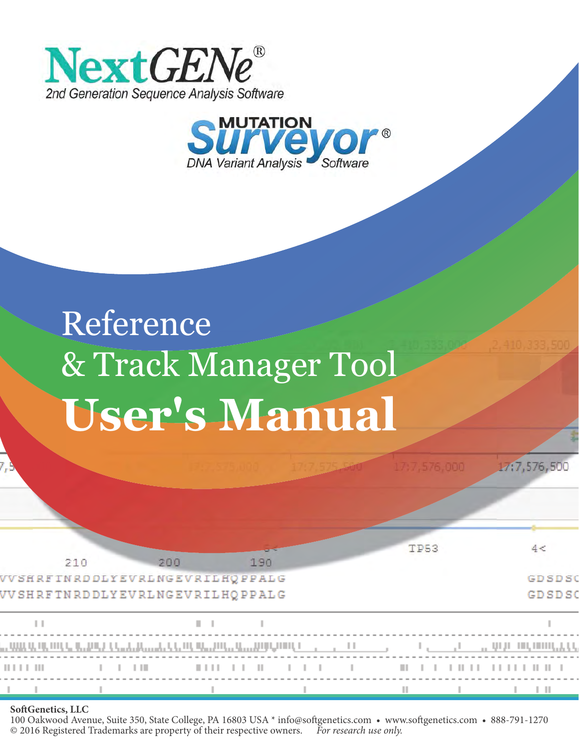



# $R_{r}$  Track M & Track Manager Tool User's Manual

|            |     |                |     |                                                                                                                                                                                                                                                                                                                                                                                                                                                                                                  |     |                | TP53                                                                                                                                                                                                                                 |  | 4 <                          |
|------------|-----|----------------|-----|--------------------------------------------------------------------------------------------------------------------------------------------------------------------------------------------------------------------------------------------------------------------------------------------------------------------------------------------------------------------------------------------------------------------------------------------------------------------------------------------------|-----|----------------|--------------------------------------------------------------------------------------------------------------------------------------------------------------------------------------------------------------------------------------|--|------------------------------|
|            | 210 |                | 200 | VVSHRFTNRDDLYEVRLNGEVRILHQPPALG<br>VV SHRFTNRDDLYEVRLNGEVRILHQPPALG                                                                                                                                                                                                                                                                                                                                                                                                                              | 190 |                |                                                                                                                                                                                                                                      |  | <b>GDSDS</b><br><b>GDSDS</b> |
|            |     |                |     | n a                                                                                                                                                                                                                                                                                                                                                                                                                                                                                              |     |                |                                                                                                                                                                                                                                      |  |                              |
|            |     |                |     | עונוג עג מן, ממקר, קר, גמער, קר, <sub>מ</sub> ר, גו, גו, גר, גר, מקר, אור, הן, גו, גו, גמער, משמק ה                                                                                                                                                                                                                                                                                                                                                                                              |     |                |                                                                                                                                                                                                                                      |  |                              |
| 1111111111 |     | $1 - 1 - 1$ 11 |     | $\begin{array}{c cccccc} & \text{if } & \text{if } & \text{if } & \text{if } & \text{if } & \text{if } & \text{if } & \text{if } & \text{if } & \text{if } & \text{if } & \text{if } & \text{if } & \text{if } & \text{if } & \text{if } & \text{if } & \text{if } & \text{if } & \text{if } & \text{if } & \text{if } & \text{if } & \text{if } & \text{if } & \text{if } & \text{if } & \text{if } & \text{if } & \text{if } & \text{if } & \text{if } & \text{if } & \text{if } & \text{if }$ |     | $-1$ $-1$ $-1$ | <b>Contact Contact Contact Contact Contact Contact Contact Contact Contact Contact Contact Contact Contact Contact Contact Contact Contact Contact Contact Contact Contact Contact Contact Contact Contact Contact Contact Conta</b> |  |                              |
|            |     |                |     |                                                                                                                                                                                                                                                                                                                                                                                                                                                                                                  |     |                |                                                                                                                                                                                                                                      |  |                              |

17(7,576,500

#### **SoftGenetics, LLC**

100 Oakwood Avenue, Suite 350, State College, PA 16803 USA \* info@softgenetics.com • www.softgenetics.com • 888-791-1270 © 2016 Registered Trademarks are property of their respective owners. For research use only. © 2016 Registered Trademarks are property of their respective owners.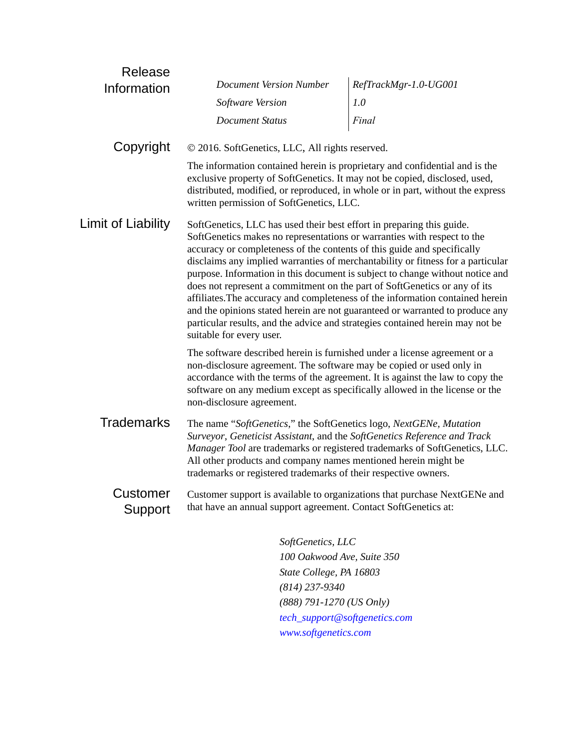| Release             |                                                                                                                                                                                                                                                                                                                                                                                                                       |                                                                                                                                                                                                                                                                                                                                    |
|---------------------|-----------------------------------------------------------------------------------------------------------------------------------------------------------------------------------------------------------------------------------------------------------------------------------------------------------------------------------------------------------------------------------------------------------------------|------------------------------------------------------------------------------------------------------------------------------------------------------------------------------------------------------------------------------------------------------------------------------------------------------------------------------------|
| Information         | <b>Document Version Number</b>                                                                                                                                                                                                                                                                                                                                                                                        | RefTrackMgr-1.0-UG001                                                                                                                                                                                                                                                                                                              |
|                     | Software Version                                                                                                                                                                                                                                                                                                                                                                                                      | 1.0                                                                                                                                                                                                                                                                                                                                |
|                     | <b>Document Status</b>                                                                                                                                                                                                                                                                                                                                                                                                | Final                                                                                                                                                                                                                                                                                                                              |
| Copyright           | © 2016. SoftGenetics, LLC, All rights reserved.                                                                                                                                                                                                                                                                                                                                                                       |                                                                                                                                                                                                                                                                                                                                    |
|                     | The information contained herein is proprietary and confidential and is the<br>exclusive property of SoftGenetics. It may not be copied, disclosed, used,<br>written permission of SoftGenetics, LLC.                                                                                                                                                                                                                 | distributed, modified, or reproduced, in whole or in part, without the express                                                                                                                                                                                                                                                     |
| Limit of Liability  | SoftGenetics, LLC has used their best effort in preparing this guide.<br>SoftGenetics makes no representations or warranties with respect to the<br>accuracy or completeness of the contents of this guide and specifically<br>does not represent a commitment on the part of SoftGenetics or any of its<br>particular results, and the advice and strategies contained herein may not be<br>suitable for every user. | disclaims any implied warranties of merchantability or fitness for a particular<br>purpose. Information in this document is subject to change without notice and<br>affiliates. The accuracy and completeness of the information contained herein<br>and the opinions stated herein are not guaranteed or warranted to produce any |
|                     | The software described herein is furnished under a license agreement or a<br>non-disclosure agreement. The software may be copied or used only in<br>accordance with the terms of the agreement. It is against the law to copy the<br>software on any medium except as specifically allowed in the license or the<br>non-disclosure agreement.                                                                        |                                                                                                                                                                                                                                                                                                                                    |
| <b>Trademarks</b>   | The name "SoftGenetics," the SoftGenetics logo, NextGENe, Mutation<br>Surveyor, Geneticist Assistant, and the SoftGenetics Reference and Track<br>All other products and company names mentioned herein might be<br>trademarks or registered trademarks of their respective owners.                                                                                                                                   | Manager Tool are trademarks or registered trademarks of SoftGenetics, LLC.                                                                                                                                                                                                                                                         |
| Customer<br>Support | that have an annual support agreement. Contact SoftGenetics at:                                                                                                                                                                                                                                                                                                                                                       | Customer support is available to organizations that purchase NextGENe and                                                                                                                                                                                                                                                          |
|                     | SoftGenetics, LLC                                                                                                                                                                                                                                                                                                                                                                                                     |                                                                                                                                                                                                                                                                                                                                    |
|                     | 100 Oakwood Ave, Suite 350                                                                                                                                                                                                                                                                                                                                                                                            |                                                                                                                                                                                                                                                                                                                                    |
|                     |                                                                                                                                                                                                                                                                                                                                                                                                                       |                                                                                                                                                                                                                                                                                                                                    |

*State College, PA 16803 (814) 237-9340 (888) 791-1270 (US Only) [tech\\_support@softgenetics.com](mailto:tech_support@softgenetics.com?subject=Customer Support Inquiry) [www.softgenetics.com](http://www.softgenetics.com)*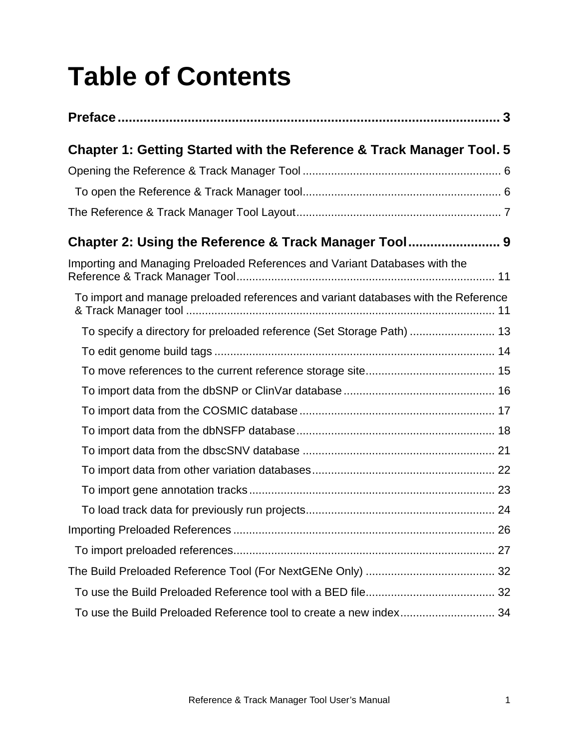# **Table of Contents**

| Chapter 1: Getting Started with the Reference & Track Manager Tool. 5              |  |
|------------------------------------------------------------------------------------|--|
|                                                                                    |  |
|                                                                                    |  |
|                                                                                    |  |
|                                                                                    |  |
| Importing and Managing Preloaded References and Variant Databases with the         |  |
| To import and manage preloaded references and variant databases with the Reference |  |
| To specify a directory for preloaded reference (Set Storage Path)  13              |  |
|                                                                                    |  |
|                                                                                    |  |
|                                                                                    |  |
|                                                                                    |  |
|                                                                                    |  |
|                                                                                    |  |
|                                                                                    |  |
|                                                                                    |  |
|                                                                                    |  |
|                                                                                    |  |
|                                                                                    |  |
|                                                                                    |  |
|                                                                                    |  |
|                                                                                    |  |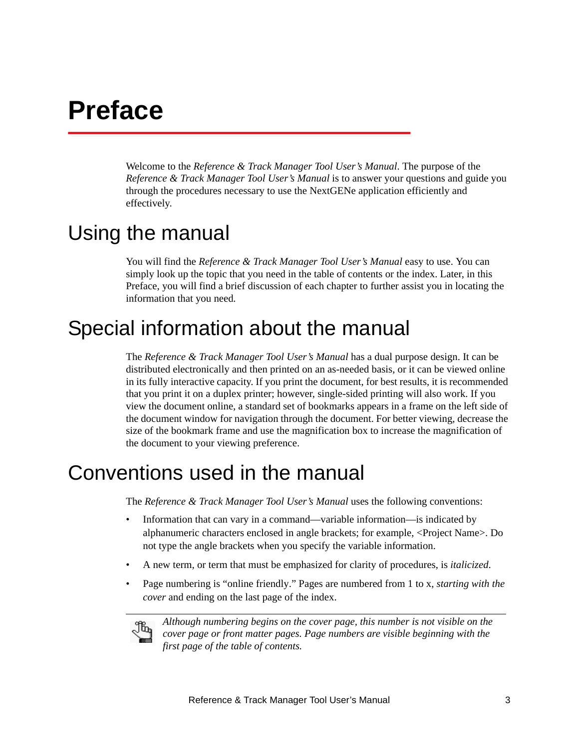# <span id="page-6-0"></span>**Preface**

Welcome to the *Reference & Track Manager Tool User's Manual*. The purpose of the *Reference & Track Manager Tool User's Manual* is to answer your questions and guide you through the procedures necessary to use the NextGENe application efficiently and effectively.

# Using the manual

You will find the *Reference & Track Manager Tool User's Manual* easy to use. You can simply look up the topic that you need in the table of contents or the index. Later, in this Preface, you will find a brief discussion of each chapter to further assist you in locating the information that you need*.*

# Special information about the manual

The *Reference & Track Manager Tool User's Manual* has a dual purpose design. It can be distributed electronically and then printed on an as-needed basis, or it can be viewed online in its fully interactive capacity. If you print the document, for best results, it is recommended that you print it on a duplex printer; however, single-sided printing will also work. If you view the document online, a standard set of bookmarks appears in a frame on the left side of the document window for navigation through the document. For better viewing, decrease the size of the bookmark frame and use the magnification box to increase the magnification of the document to your viewing preference.

# Conventions used in the manual

The *Reference & Track Manager Tool User's Manual* uses the following conventions:

- Information that can vary in a command—variable information—is indicated by alphanumeric characters enclosed in angle brackets; for example, <Project Name>. Do not type the angle brackets when you specify the variable information.
- A new term, or term that must be emphasized for clarity of procedures, is *italicized*.
- Page numbering is "online friendly." Pages are numbered from 1 to x, *starting with the cover* and ending on the last page of the index.



*Although numbering begins on the cover page, this number is not visible on the cover page or front matter pages. Page numbers are visible beginning with the first page of the table of contents.*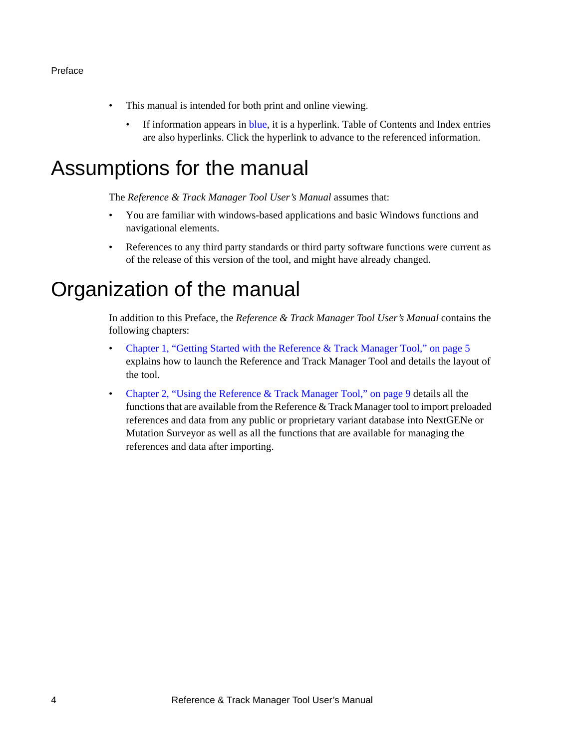#### Preface

- This manual is intended for both print and online viewing.
	- If information appears in blue, it is a hyperlink. Table of Contents and Index entries are also hyperlinks. Click the hyperlink to advance to the referenced information.

# Assumptions for the manual

The *Reference & Track Manager Tool User's Manual* assumes that:

- You are familiar with windows-based applications and basic Windows functions and navigational elements.
- References to any third party standards or third party software functions were current as of the release of this version of the tool, and might have already changed.

# Organization of the manual

In addition to this Preface, the *Reference & Track Manager Tool User's Manual* contains the following chapters:

- [Chapter 1, "Getting Started with the Reference & Track Manager Tool," on page 5](#page-8-1) explains how to launch the Reference and Track Manager Tool and details the layout of the tool.
- [Chapter 2, "Using the Reference & Track Manager Tool," on page 9](#page-12-1) details all the functions that are available from the Reference & Track Manager tool to import preloaded references and data from any public or proprietary variant database into NextGENe or Mutation Surveyor as well as all the functions that are available for managing the references and data after importing.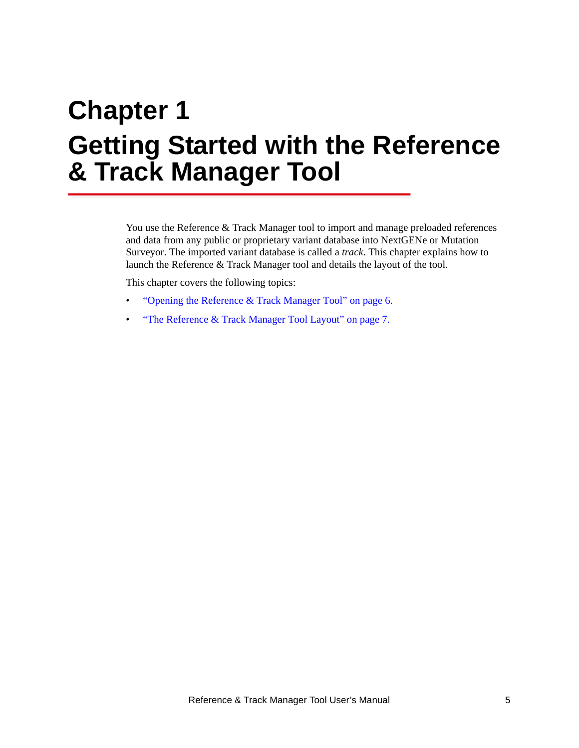# <span id="page-8-1"></span><span id="page-8-0"></span>**Chapter 1 Getting Started with the Reference & Track Manager Tool**

You use the Reference & Track Manager tool to import and manage preloaded references and data from any public or proprietary variant database into NextGENe or Mutation Surveyor. The imported variant database is called a *track*. This chapter explains how to launch the Reference & Track Manager tool and details the layout of the tool.

This chapter covers the following topics:

- ["Opening the Reference & Track Manager Tool" on page 6.](#page-9-0)
- ["The Reference & Track Manager Tool Layout" on page 7.](#page-10-0)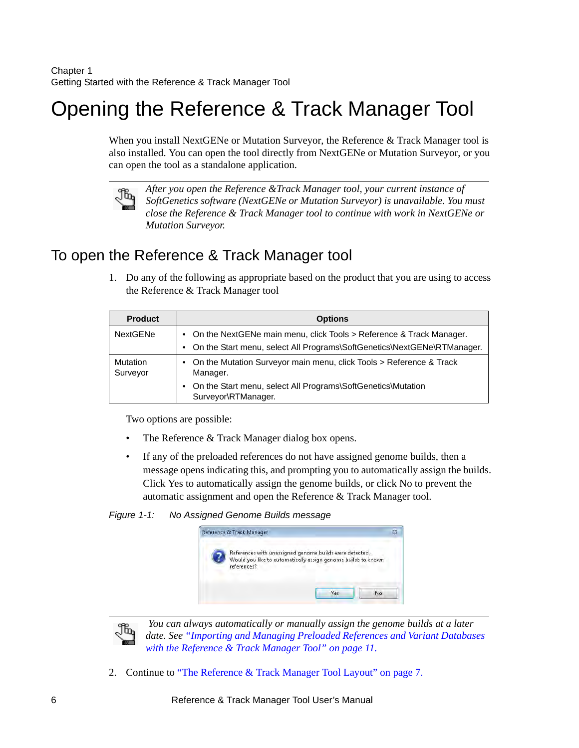# <span id="page-9-2"></span><span id="page-9-0"></span>Opening the Reference & Track Manager Tool

When you install NextGENe or Mutation Surveyor, the Reference & Track Manager tool is also installed. You can open the tool directly from NextGENe or Mutation Surveyor, or you can open the tool as a standalone application.



*After you open the Reference &Track Manager tool, your current instance of SoftGenetics software (NextGENe or Mutation Surveyor) is unavailable. You must close the Reference & Track Manager tool to continue with work in NextGENe or Mutation Surveyor.*

### <span id="page-9-1"></span>To open the Reference & Track Manager tool

1. Do any of the following as appropriate based on the product that you are using to access the Reference & Track Manager tool

| <b>Product</b>       | <b>Options</b>                                                                        |
|----------------------|---------------------------------------------------------------------------------------|
| <b>NextGENe</b>      | • On the NextGENe main menu, click Tools > Reference & Track Manager.                 |
|                      | • On the Start menu, select All Programs\SoftGenetics\NextGENe\RTManager.             |
| Mutation<br>Surveyor | • On the Mutation Surveyor main menu, click Tools > Reference & Track<br>Manager.     |
|                      | • On the Start menu, select All Programs\SoftGenetics\Mutation<br>Surveyor\RTManager. |

Two options are possible:

- The Reference & Track Manager dialog box opens.
- If any of the preloaded references do not have assigned genome builds, then a message opens indicating this, and prompting you to automatically assign the builds. Click Yes to automatically assign the genome builds, or click No to prevent the automatic assignment and open the Reference & Track Manager tool.

*Figure 1-1: No Assigned Genome Builds message*





 *You can always automatically or manually assign the genome builds at a later date. See ["Importing and Managing Preloaded References and Variant Databases](#page-14-2)  [with the Reference & Track Manager Tool" on page 11.](#page-14-2)*

2. Continue to ["The Reference & Track Manager Tool Layout" on page 7.](#page-10-0)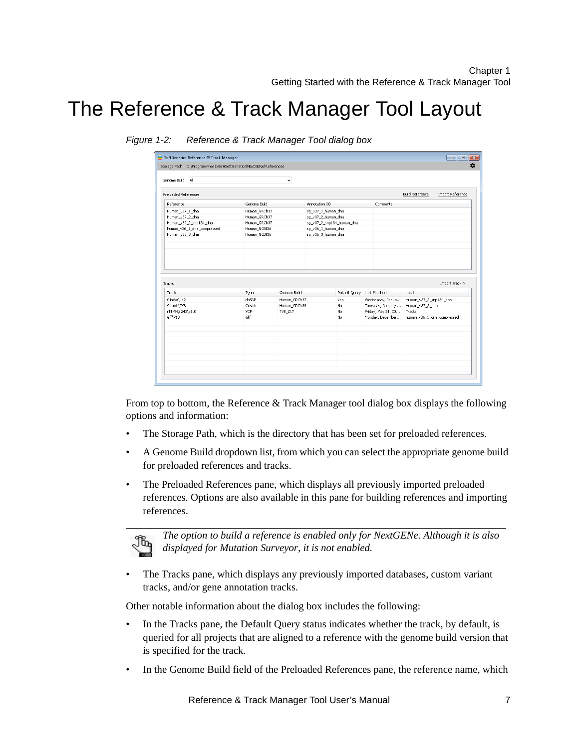# <span id="page-10-0"></span>The Reference & Track Manager Tool Layout

| Genome Build<br>Human GRCh37<br>Human_GRCh37<br>Human_GRCh37 |                                | Annotation DB<br>sq v37 1 human dna<br>sg_v37_2_human_dna |                              | Comments         | <b>Build Reference</b><br>Import Reference                                                 |
|--------------------------------------------------------------|--------------------------------|-----------------------------------------------------------|------------------------------|------------------|--------------------------------------------------------------------------------------------|
|                                                              |                                |                                                           |                              |                  |                                                                                            |
|                                                              |                                |                                                           |                              |                  |                                                                                            |
|                                                              |                                |                                                           |                              |                  |                                                                                            |
|                                                              |                                |                                                           |                              |                  |                                                                                            |
|                                                              |                                | sg_v37_2_snp134_human_dna                                 |                              |                  |                                                                                            |
| Human NCBI36                                                 |                                | sg_v36_1_human_dna                                        |                              |                  |                                                                                            |
| Human_NCBI36                                                 |                                | sg_v36_3_human_dna                                        |                              |                  |                                                                                            |
|                                                              |                                |                                                           |                              |                  |                                                                                            |
|                                                              |                                |                                                           |                              |                  |                                                                                            |
|                                                              |                                |                                                           |                              |                  |                                                                                            |
|                                                              |                                |                                                           |                              |                  |                                                                                            |
|                                                              |                                |                                                           |                              |                  |                                                                                            |
|                                                              |                                |                                                           |                              |                  |                                                                                            |
|                                                              |                                |                                                           |                              |                  | Import Track >                                                                             |
|                                                              |                                |                                                           |                              |                  | Location                                                                                   |
|                                                              |                                |                                                           |                              |                  |                                                                                            |
|                                                              |                                |                                                           |                              |                  | Human_v37_2_snp134_dna                                                                     |
|                                                              |                                |                                                           |                              |                  | Human_v37_2_dna<br>Tracks                                                                  |
| Gff                                                          |                                |                                                           |                              |                  |                                                                                            |
|                                                              |                                |                                                           | No.                          | Monday, December | human_v36_1_dna_compressed                                                                 |
|                                                              |                                |                                                           |                              |                  |                                                                                            |
|                                                              |                                |                                                           |                              |                  |                                                                                            |
|                                                              |                                |                                                           |                              |                  |                                                                                            |
|                                                              |                                |                                                           |                              |                  |                                                                                            |
|                                                              |                                |                                                           |                              |                  |                                                                                            |
|                                                              |                                |                                                           |                              |                  |                                                                                            |
|                                                              | Type<br>dbSNP<br>Cosmic<br>VCF | Genome Build<br>TVB 217                                   | Human_GRCh37<br>Human_GRCh38 | Yes<br>No<br>No. | Default Query Last Modified<br>Wednesday, Janua<br>Thursday, January<br>Friday, May 31, 20 |

*Figure 1-2: Reference & Track Manager Tool dialog box*

From top to bottom, the Reference & Track Manager tool dialog box displays the following options and information:

- The Storage Path, which is the directory that has been set for preloaded references.
- A Genome Build dropdown list, from which you can select the appropriate genome build for preloaded references and tracks.
- The Preloaded References pane, which displays all previously imported preloaded references. Options are also available in this pane for building references and importing references.



*The option to build a reference is enabled only for NextGENe. Although it is also displayed for Mutation Surveyor, it is not enabled.*

• The Tracks pane, which displays any previously imported databases, custom variant tracks, and/or gene annotation tracks.

Other notable information about the dialog box includes the following:

- In the Tracks pane, the Default Query status indicates whether the track, by default, is queried for all projects that are aligned to a reference with the genome build version that is specified for the track.
- In the Genome Build field of the Preloaded References pane, the reference name, which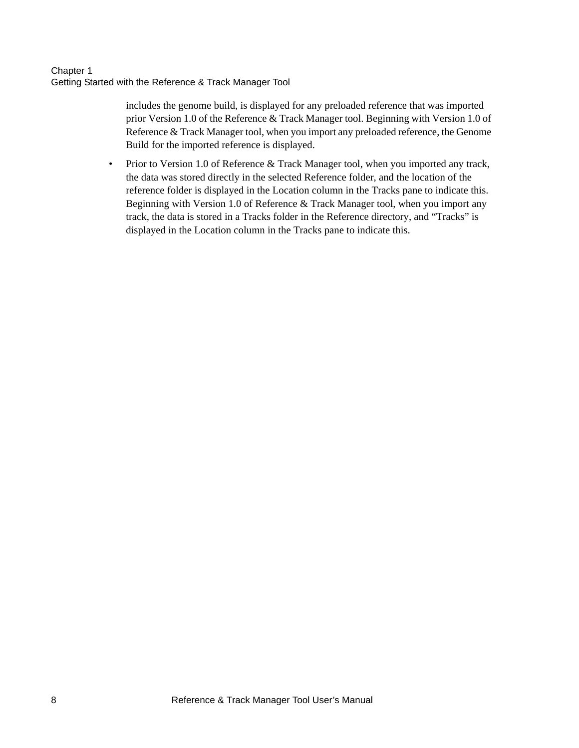includes the genome build, is displayed for any preloaded reference that was imported prior Version 1.0 of the Reference & Track Manager tool. Beginning with Version 1.0 of Reference & Track Manager tool, when you import any preloaded reference, the Genome Build for the imported reference is displayed.

• Prior to Version 1.0 of Reference & Track Manager tool, when you imported any track, the data was stored directly in the selected Reference folder, and the location of the reference folder is displayed in the Location column in the Tracks pane to indicate this. Beginning with Version 1.0 of Reference & Track Manager tool, when you import any track, the data is stored in a Tracks folder in the Reference directory, and "Tracks" is displayed in the Location column in the Tracks pane to indicate this.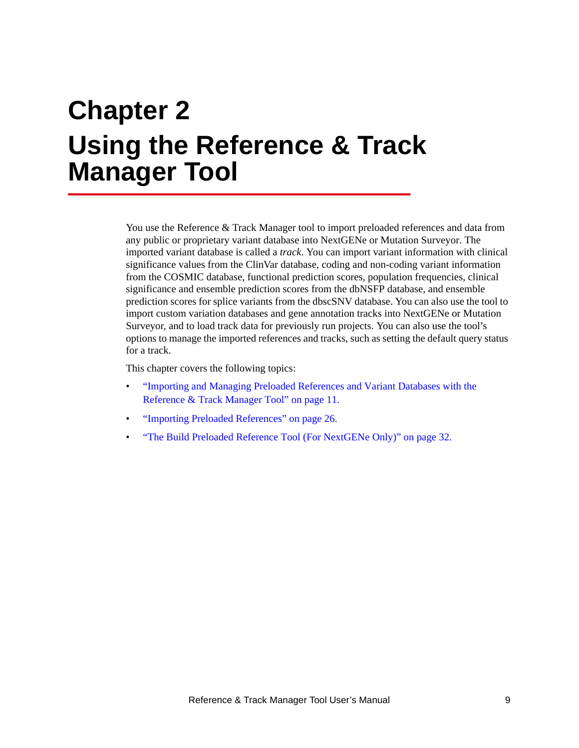<span id="page-12-1"></span><span id="page-12-0"></span>You use the Reference & Track Manager tool to import preloaded references and data from any public or proprietary variant database into NextGENe or Mutation Surveyor. The imported variant database is called a *track*. You can import variant information with clinical significance values from the ClinVar database, coding and non-coding variant information from the COSMIC database, functional prediction scores, population frequencies, clinical significance and ensemble prediction scores from the dbNSFP database, and ensemble prediction scores for splice variants from the dbscSNV database. You can also use the tool to import custom variation databases and gene annotation tracks into NextGENe or Mutation Surveyor, and to load track data for previously run projects. You can also use the tool's options to manage the imported references and tracks, such as setting the default query status for a track.

This chapter covers the following topics:

- ["Importing and Managing Preloaded References and Variant Databases with the](#page-14-0)  [Reference & Track Manager Tool" on page 11.](#page-14-0)
- ["Importing Preloaded References" on page 26.](#page-29-0)
- ["The Build Preloaded Reference Tool \(For NextGENe Only\)" on page 32.](#page-35-0)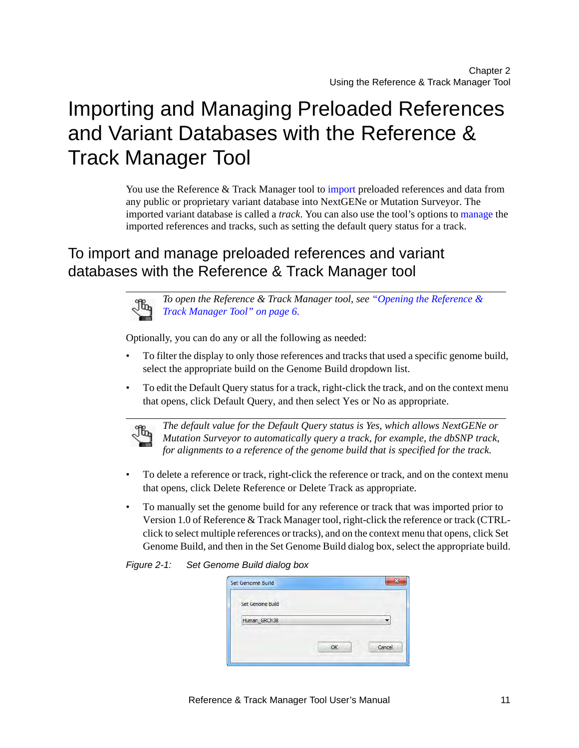# <span id="page-14-2"></span><span id="page-14-0"></span>Importing and Managing Preloaded References and Variant Databases with the Reference & Track Manager Tool

You use the Reference & Track Manager tool to [import](#page-14-1) preloaded references and data from any public or proprietary variant database into NextGENe or Mutation Surveyor. The imported variant database is called a *track*. You can also use the tool's options to [manage](#page-14-1) the imported references and tracks, such as setting the default query status for a track.

## <span id="page-14-1"></span>To import and manage preloaded references and variant databases with the Reference & Track Manager tool

*To open the Reference & Track Manager tool, see ["Opening the Reference &](#page-9-2)  [Track Manager Tool" on page 6.](#page-9-2)*

Optionally, you can do any or all the following as needed:

- To filter the display to only those references and tracks that used a specific genome build, select the appropriate build on the Genome Build dropdown list.
- To edit the Default Query status for a track, right-click the track, and on the context menu that opens, click Default Query, and then select Yes or No as appropriate.



*The default value for the Default Query status is Yes, which allows NextGENe or Mutation Surveyor to automatically query a track, for example, the dbSNP track, for alignments to a reference of the genome build that is specified for the track.*

- To delete a reference or track, right-click the reference or track, and on the context menu that opens, click Delete Reference or Delete Track as appropriate.
- To manually set the genome build for any reference or track that was imported prior to Version 1.0 of Reference & Track Manager tool, right-click the reference or track (CTRLclick to select multiple references or tracks), and on the context menu that opens, click Set Genome Build, and then in the Set Genome Build dialog box, select the appropriate build.

*Figure 2-1: Set Genome Build dialog box*

|        |    | Set Genome Build |
|--------|----|------------------|
|        |    | Set Genome Build |
|        |    | Human_GRCh38     |
| Cancel | OK |                  |
|        |    |                  |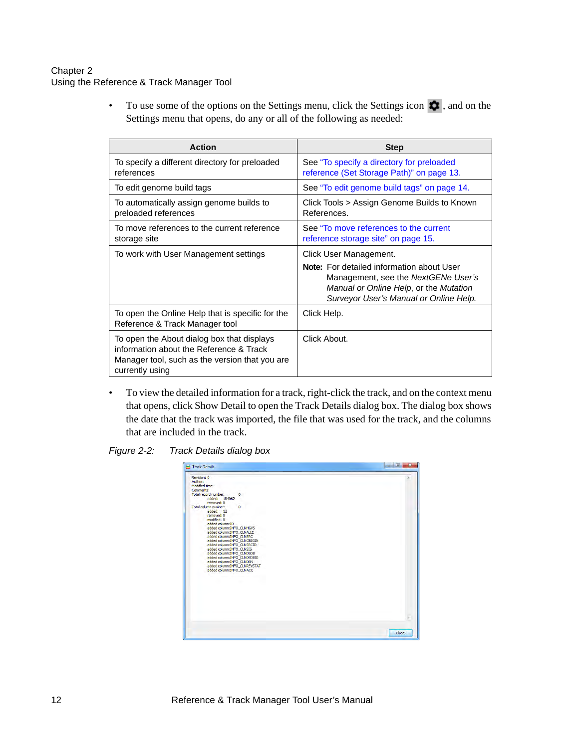• To use some of the options on the Settings menu, click the Settings icon  $\bullet$ , and on the Settings menu that opens, do any or all of the following as needed:

| <b>Action</b>                                                                                                                                              | <b>Step</b>                                                                                                                                                                 |
|------------------------------------------------------------------------------------------------------------------------------------------------------------|-----------------------------------------------------------------------------------------------------------------------------------------------------------------------------|
| To specify a different directory for preloaded<br>references                                                                                               | See "To specify a directory for preloaded<br>reference (Set Storage Path)" on page 13.                                                                                      |
| To edit genome build tags                                                                                                                                  | See "To edit genome build tags" on page 14.                                                                                                                                 |
| To automatically assign genome builds to<br>preloaded references                                                                                           | Click Tools > Assign Genome Builds to Known<br>References.                                                                                                                  |
| To move references to the current reference<br>storage site                                                                                                | See "To move references to the current"<br>reference storage site" on page 15.                                                                                              |
| To work with User Management settings                                                                                                                      | Click User Management.                                                                                                                                                      |
|                                                                                                                                                            | <b>Note:</b> For detailed information about User<br>Management, see the NextGENe User's<br>Manual or Online Help, or the Mutation<br>Surveyor User's Manual or Online Help. |
| To open the Online Help that is specific for the<br>Reference & Track Manager tool                                                                         | Click Help.                                                                                                                                                                 |
| To open the About dialog box that displays<br>information about the Reference & Track<br>Manager tool, such as the version that you are<br>currently using | Click About.                                                                                                                                                                |

• To view the detailed information for a track, right-click the track, and on the context menu that opens, click Show Detail to open the Track Details dialog box. The dialog box shows the date that the track was imported, the file that was used for the track, and the columns that are included in the track.



| Track Details                      |                               | $-10$<br>$\overline{\mathbf{x}}$ |
|------------------------------------|-------------------------------|----------------------------------|
| Revision: 0                        |                               |                                  |
| Author:                            |                               |                                  |
| Modified time:                     |                               |                                  |
| Comments:<br>Total record number:  |                               |                                  |
| added: 184062                      | $\circ$                       |                                  |
| removed: 0<br>Total column number: | $\circ$                       |                                  |
| added: 12                          |                               |                                  |
| removed: 0                         |                               |                                  |
| modified: 0                        |                               |                                  |
| added column:ID                    |                               |                                  |
| added column: INFO CLNHGVS         |                               |                                  |
| added column: INFO CLNALLE         |                               |                                  |
| added column:INFO CLNSRC           |                               |                                  |
| added column: INFO_CLNORIGIN       |                               |                                  |
| added column: INFO_CLNSRCID        |                               |                                  |
| added column: INFO CLNSIG          |                               |                                  |
| added column: INFO_CLNDSDB         |                               |                                  |
|                                    | added column: INFO CLNDSDBID  |                                  |
| added column: INFO CLNDBN          |                               |                                  |
|                                    | added column: INFO CLNREVSTAT |                                  |
| added column: INFO CLNACC          |                               |                                  |
|                                    |                               |                                  |
|                                    |                               |                                  |
|                                    |                               |                                  |
|                                    |                               |                                  |
|                                    |                               |                                  |
|                                    |                               |                                  |
|                                    |                               |                                  |
|                                    |                               |                                  |
|                                    |                               |                                  |
|                                    |                               | ÷                                |
|                                    |                               |                                  |
|                                    |                               | Close                            |
|                                    |                               |                                  |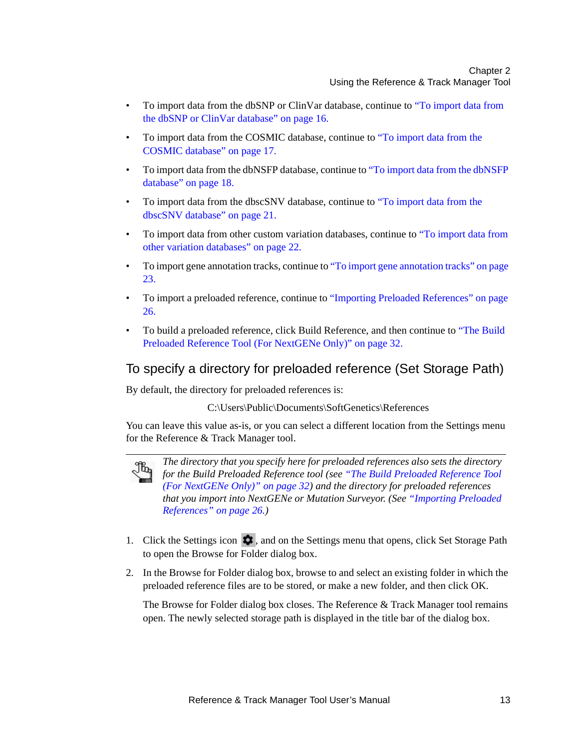- To import data from the dbSNP or ClinVar database, continue to "To import data from [the dbSNP or ClinVar database" on page 16.](#page-19-0)
- To import data from the COSMIC database, continue to ["To import data from the](#page-20-0)  [COSMIC database" on page 17.](#page-20-0)
- To import data from the dbNSFP database, continue to ["To import data from the dbNSFP](#page-21-0)  [database" on page 18.](#page-21-0)
- To import data from the dbscSNV database, continue to ["To import data from the](#page-24-0)  [dbscSNV database" on page 21.](#page-24-0)
- To import data from other custom variation databases, continue to ["To import data from](#page-25-0)  [other variation databases" on page 22.](#page-25-0)
- To import gene annotation tracks, continue to ["To import gene annotation tracks" on page](#page-26-0)  [23.](#page-26-0)
- To import a preloaded reference, continue to ["Importing Preloaded References" on page](#page-29-0)  [26.](#page-29-0)
- To build a preloaded reference, click Build Reference, and then continue to ["The Build](#page-35-0)  [Preloaded Reference Tool \(For NextGENe Only\)" on page 32.](#page-35-0)

### <span id="page-16-0"></span>To specify a directory for preloaded reference (Set Storage Path)

By default, the directory for preloaded references is:

C:\Users\Public\Documents\SoftGenetics\References

You can leave this value as-is, or you can select a different location from the Settings menu for the Reference & Track Manager tool.



*The directory that you specify here for preloaded references also sets the directory for the Build Preloaded Reference tool (see ["The Build Preloaded Reference Tool](#page-35-0)  [\(For NextGENe Only\)" on page 32](#page-35-0)) and the directory for preloaded references that you import into NextGENe or Mutation Surveyor. (See ["Importing Preloaded](#page-29-0)  [References" on page 26.](#page-29-0))*

- 1. Click the Settings icon  $\bullet$ , and on the Settings menu that opens, click Set Storage Path to open the Browse for Folder dialog box.
- 2. In the Browse for Folder dialog box, browse to and select an existing folder in which the preloaded reference files are to be stored, or make a new folder, and then click OK.

The Browse for Folder dialog box closes. The Reference & Track Manager tool remains open. The newly selected storage path is displayed in the title bar of the dialog box.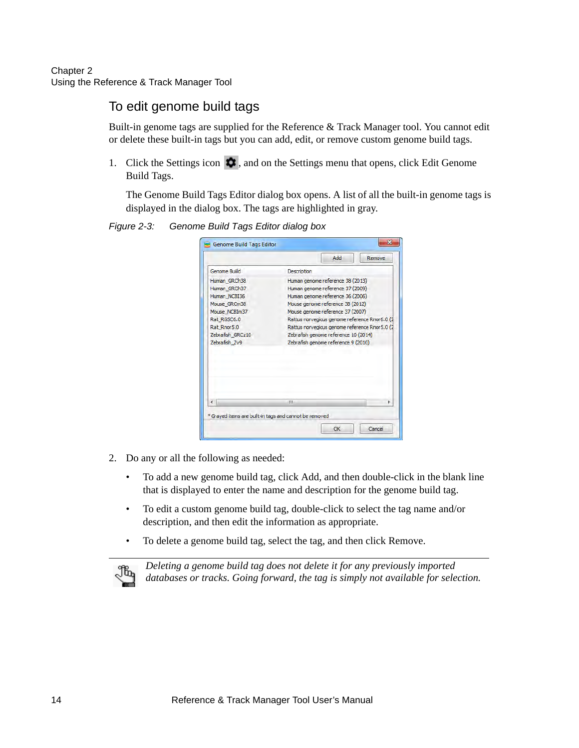### <span id="page-17-0"></span>To edit genome build tags

Built-in genome tags are supplied for the Reference & Track Manager tool. You cannot edit or delete these built-in tags but you can add, edit, or remove custom genome build tags.

1. Click the Settings icon  $\bullet$ , and on the Settings menu that opens, click Edit Genome Build Tags.

The Genome Build Tags Editor dialog box opens. A list of all the built-in genome tags is displayed in the dialog box. The tags are highlighted in gray.

*Figure 2-3: Genome Build Tags Editor dialog box*

|                  | Add<br>Remove                                   |  |  |
|------------------|-------------------------------------------------|--|--|
| Genome Build     | Description                                     |  |  |
| Human GRCh38     | Human genome reference 38 (2013)                |  |  |
| Human GRCh37     | Human genome reference 37 (2009)                |  |  |
| Human NCBI36     | Human genome reference 36 (2006)                |  |  |
| Mouse GRCm38     | Mouse genome reference 38 (2012)                |  |  |
| Mouse NCBIm37    | Mouse genome reference 37 (2007)                |  |  |
| Rat RGSC6.0      | Rattus norvegicus genome reference Rnor6.0 (2   |  |  |
| Rat Rnor5.0      | Rattus norvegicus genome reference Rnor 5.0 (2) |  |  |
| Zebrafish GRCz10 | Zebrafish genome reference 10 (2014)            |  |  |
| Zebrafish Zv9    | Zebrafish genome reference 9 (2010)             |  |  |
|                  |                                                 |  |  |
|                  | FU.                                             |  |  |
|                  |                                                 |  |  |

- 2. Do any or all the following as needed:
	- To add a new genome build tag, click Add, and then double-click in the blank line that is displayed to enter the name and description for the genome build tag.
	- To edit a custom genome build tag, double-click to select the tag name and/or description, and then edit the information as appropriate.
	- To delete a genome build tag, select the tag, and then click Remove.



*Deleting a genome build tag does not delete it for any previously imported databases or tracks. Going forward, the tag is simply not available for selection.*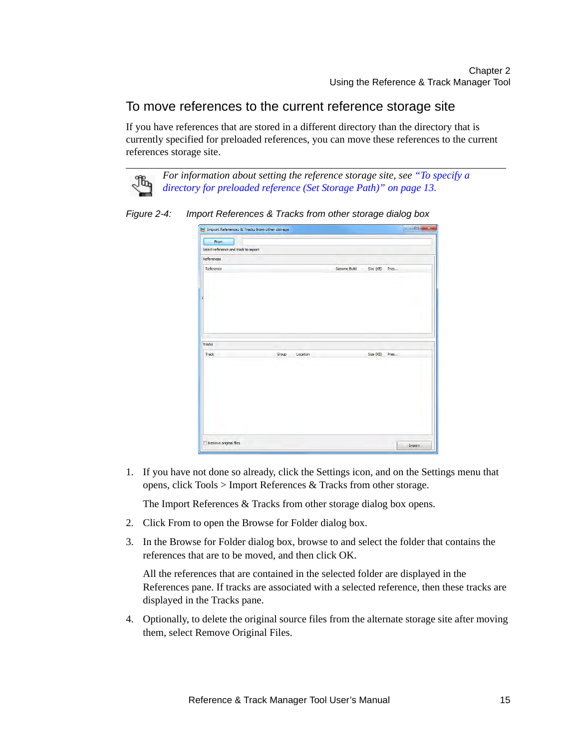### <span id="page-18-0"></span>To move references to the current reference storage site

If you have references that are stored in a different directory than the directory that is currently specified for preloaded references, you can move these references to the current references storage site.



*Figure 2-4: Import References & Tracks from other storage dialog box*

| Import References & Tracks from other storage |                   |                     |           | $\Box$<br>$\mathbf{x}$ |
|-----------------------------------------------|-------------------|---------------------|-----------|------------------------|
| From<br>Select reference and track to import  |                   |                     |           |                        |
| References                                    |                   |                     |           |                        |
| Reference                                     |                   | <b>Genome Build</b> | Size (KB) | Pres                   |
| Tracks                                        |                   |                     |           |                        |
| Track                                         | Group<br>Location |                     | Size (KB) | Pres                   |
|                                               |                   |                     |           |                        |
| Remove original files                         |                   |                     |           | Import                 |

1. If you have not done so already, click the Settings icon, and on the Settings menu that opens, click Tools > Import References & Tracks from other storage.

The Import References & Tracks from other storage dialog box opens.

- 2. Click From to open the Browse for Folder dialog box.
- 3. In the Browse for Folder dialog box, browse to and select the folder that contains the references that are to be moved, and then click OK.

All the references that are contained in the selected folder are displayed in the References pane. If tracks are associated with a selected reference, then these tracks are displayed in the Tracks pane.

4. Optionally, to delete the original source files from the alternate storage site after moving them, select Remove Original Files.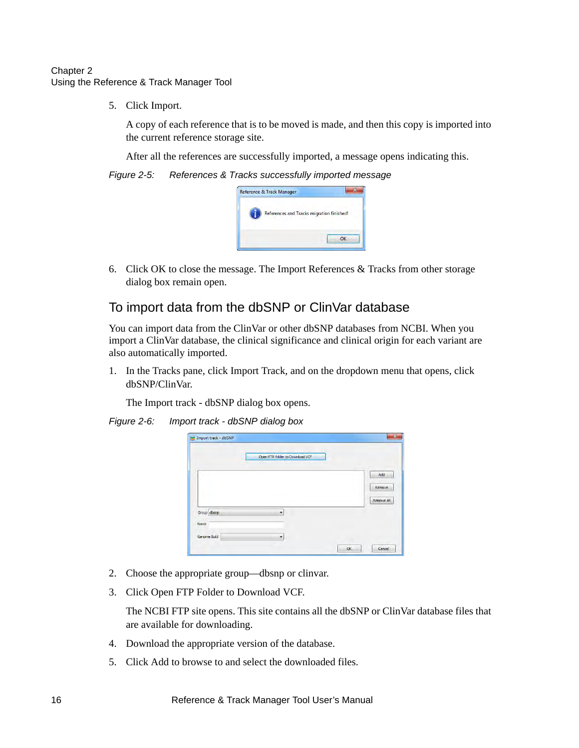5. Click Import.

A copy of each reference that is to be moved is made, and then this copy is imported into the current reference storage site.

After all the references are successfully imported, a message opens indicating this.

*Figure 2-5: References & Tracks successfully imported message*

| Reference & Track Manager                 |
|-------------------------------------------|
| References and Tracks migration finished! |
| OK                                        |

6. Click OK to close the message. The Import References & Tracks from other storage dialog box remain open.

### <span id="page-19-0"></span>To import data from the dbSNP or ClinVar database

You can import data from the ClinVar or other dbSNP databases from NCBI. When you import a ClinVar database, the clinical significance and clinical origin for each variant are also automatically imported.

1. In the Tracks pane, click Import Track, and on the dropdown menu that opens, click dbSNP/ClinVar.

The Import track - dbSNP dialog box opens.

*Figure 2-6: Import track - dbSNP dialog box*

|             |   | Open FTP folder to Download VCF |  |
|-------------|---|---------------------------------|--|
|             |   | Add                             |  |
|             |   | Remove                          |  |
| Group dbsnp | ۰ | Remove All                      |  |
| Name        |   |                                 |  |

- 2. Choose the appropriate group—dbsnp or clinvar.
- 3. Click Open FTP Folder to Download VCF.

The NCBI FTP site opens. This site contains all the dbSNP or ClinVar database files that are available for downloading.

- 4. Download the appropriate version of the database.
- 5. Click Add to browse to and select the downloaded files.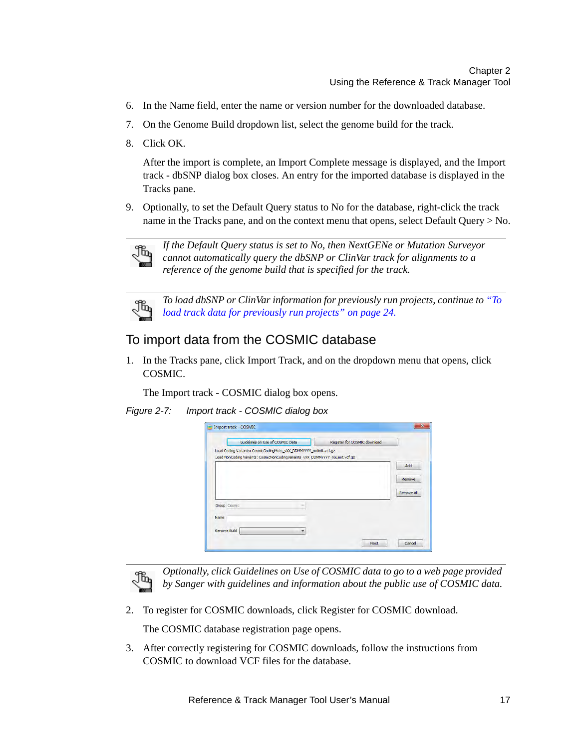- 6. In the Name field, enter the name or version number for the downloaded database.
- 7. On the Genome Build dropdown list, select the genome build for the track.
- 8. Click OK.

After the import is complete, an Import Complete message is displayed, and the Import track - dbSNP dialog box closes. An entry for the imported database is displayed in the Tracks pane.

9. Optionally, to set the Default Query status to No for the database, right-click the track name in the Tracks pane, and on the context menu that opens, select Default Query > No.



*If the Default Query status is set to No, then NextGENe or Mutation Surveyor cannot automatically query the dbSNP or ClinVar track for alignments to a reference of the genome build that is specified for the track.* 



*To load dbSNP or ClinVar information for previously run projects, continue to ["To](#page-27-0)  [load track data for previously run projects" on page 24.](#page-27-0)*

### <span id="page-20-0"></span>To import data from the COSMIC database

1. In the Tracks pane, click Import Track, and on the dropdown menu that opens, click COSMIC.

The Import track - COSMIC dialog box opens.

*Figure 2-7: Import track - COSMIC dialog box*

|              | Guidelines on Use of COSMIC Data                                             | Register for COSMIC download |                   |
|--------------|------------------------------------------------------------------------------|------------------------------|-------------------|
|              | Load Coding Variants: CosmicCodingMuts_vXX_DDMMYYYY_nolimit.vcf.gz           |                              |                   |
|              | Load NonCoding Variants: CosmicNonCodingVariants_vXX_DDMMYYYY_noLimit.vcf.gz |                              |                   |
|              |                                                                              |                              | Add               |
|              |                                                                              |                              | Remove            |
|              |                                                                              |                              |                   |
|              |                                                                              |                              | <b>Remove All</b> |
| Group Cosmic |                                                                              |                              |                   |
|              |                                                                              |                              |                   |
| Name         |                                                                              |                              |                   |
|              |                                                                              |                              |                   |



*Optionally, click Guidelines on Use of COSMIC data to go to a web page provided by Sanger with guidelines and information about the public use of COSMIC data.*

2. To register for COSMIC downloads, click Register for COSMIC download.

The COSMIC database registration page opens.

3. After correctly registering for COSMIC downloads, follow the instructions from COSMIC to download VCF files for the database.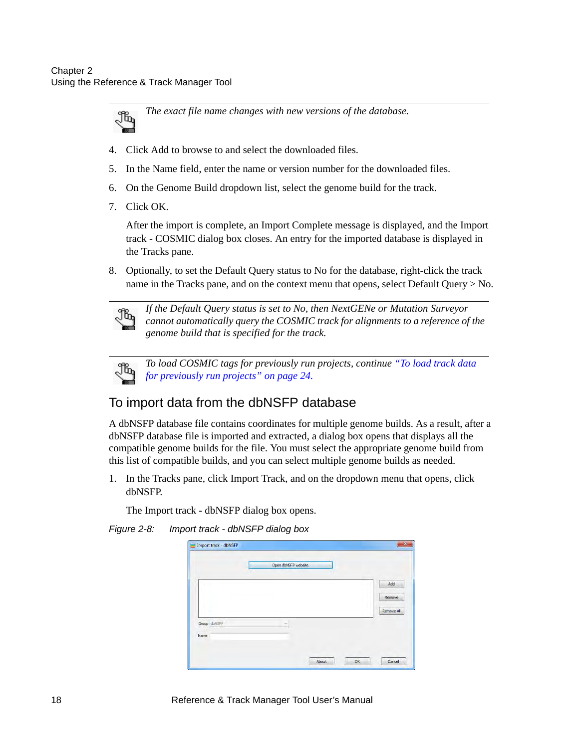

- 4. Click Add to browse to and select the downloaded files.
- 5. In the Name field, enter the name or version number for the downloaded files.
- 6. On the Genome Build dropdown list, select the genome build for the track.
- 7. Click OK.

After the import is complete, an Import Complete message is displayed, and the Import track - COSMIC dialog box closes. An entry for the imported database is displayed in the Tracks pane.

8. Optionally, to set the Default Query status to No for the database, right-click the track name in the Tracks pane, and on the context menu that opens, select Default Query > No.



*If the Default Query status is set to No, then NextGENe or Mutation Surveyor cannot automatically query the COSMIC track for alignments to a reference of the genome build that is specified for the track.* 



*To load COSMIC tags for previously run projects, continue ["To load track data](#page-27-0)  [for previously run projects" on page 24.](#page-27-0)*

### <span id="page-21-0"></span>To import data from the dbNSFP database

A dbNSFP database file contains coordinates for multiple genome builds. As a result, after a dbNSFP database file is imported and extracted, a dialog box opens that displays all the compatible genome builds for the file. You must select the appropriate genome build from this list of compatible builds, and you can select multiple genome builds as needed.

1. In the Tracks pane, click Import Track, and on the dropdown menu that opens, click dbNSFP.

The Import track - dbNSFP dialog box opens.

*Figure 2-8: Import track - dbNSFP dialog box*

|              | Open dbNSFP website   |
|--------------|-----------------------|
|              | Add                   |
|              | Remove                |
|              | Remove All            |
| Group dbNSFP |                       |
| Name         |                       |
|              |                       |
|              | OK<br>About<br>Cancel |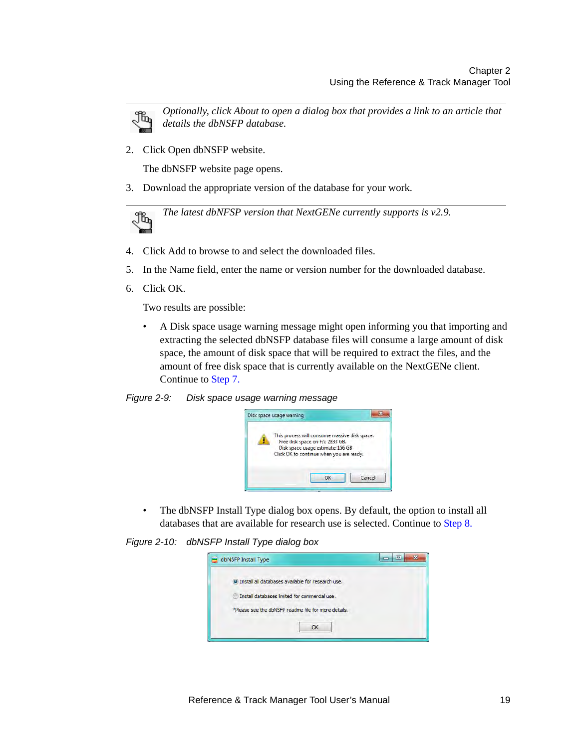

*Optionally, click About to open a dialog box that provides a link to an article that details the dbNSFP database.*

2. Click Open dbNSFP website.

The dbNSFP website page opens.

3. Download the appropriate version of the database for your work.

*The latest dbNFSP version that NextGENe currently supports is v2.9.*Jb,

- 4. Click Add to browse to and select the downloaded files.
- 5. In the Name field, enter the name or version number for the downloaded database.
- 6. Click OK.

Two results are possible:

• A Disk space usage warning message might open informing you that importing and extracting the selected dbNSFP database files will consume a large amount of disk space, the amount of disk space that will be required to extract the files, and the amount of free disk space that is currently available on the NextGENe client. Continue to [Step 7.](#page-23-0)





• The dbNSFP Install Type dialog box opens. By default, the option to install all databases that are available for research use is selected. Continue to [Step 8.](#page-23-1)

*Figure 2-10: dbNSFP Install Type dialog box*

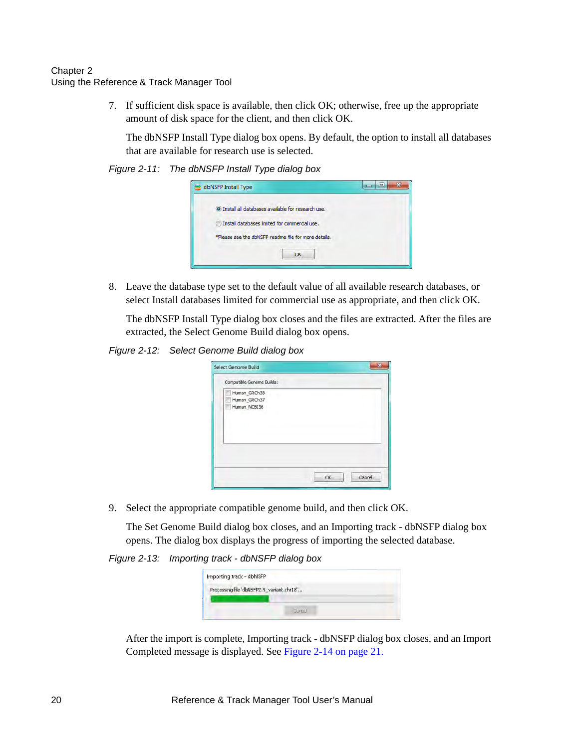<span id="page-23-0"></span>7. If sufficient disk space is available, then click OK; otherwise, free up the appropriate amount of disk space for the client, and then click OK.

The dbNSFP Install Type dialog box opens. By default, the option to install all databases that are available for research use is selected.

#### *Figure 2-11: The dbNSFP Install Type dialog box*



<span id="page-23-1"></span>8. Leave the database type set to the default value of all available research databases, or select Install databases limited for commercial use as appropriate, and then click OK.

The dbNSFP Install Type dialog box closes and the files are extracted. After the files are extracted, the Select Genome Build dialog box opens.

*Figure 2-12: Select Genome Build dialog box*

| Select Genome Build                          |               |
|----------------------------------------------|---------------|
| Compatible Genome Builds:                    |               |
| Human_GRCh38<br>Human_GRCh37<br>Human_NCBI36 |               |
|                                              | Cancel<br>OK. |

9. Select the appropriate compatible genome build, and then click OK.

The Set Genome Build dialog box closes, and an Importing track - dbNSFP dialog box opens. The dialog box displays the progress of importing the selected database.

*Figure 2-13: Importing track - dbNSFP dialog box*

| Importing track - dbNSFP |                                           |  |
|--------------------------|-------------------------------------------|--|
|                          | Processing file 'dbNSFP2.9_variant.chr18' |  |
|                          |                                           |  |
|                          | <b>ARTES</b>                              |  |

After the import is complete, Importing track - dbNSFP dialog box closes, and an Import Completed message is displayed. See [Figure 2-14 on page 21.](#page-24-1)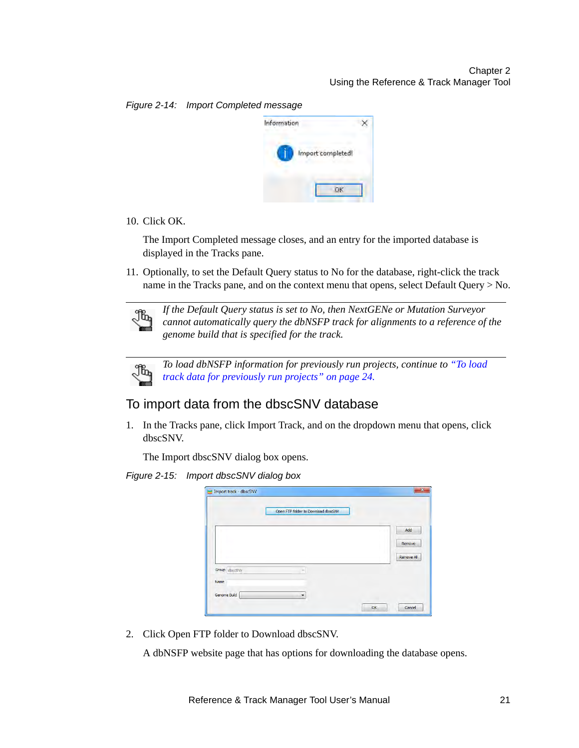$\times$ 

Information Import completed!

#### <span id="page-24-1"></span>*Figure 2-14: Import Completed message*

10. Click OK.

The Import Completed message closes, and an entry for the imported database is displayed in the Tracks pane.

11. Optionally, to set the Default Query status to No for the database, right-click the track name in the Tracks pane, and on the context menu that opens, select Default Query > No.



*If the Default Query status is set to No, then NextGENe or Mutation Surveyor cannot automatically query the dbNSFP track for alignments to a reference of the genome build that is specified for the track.* 

OK



*To load dbNSFP information for previously run projects, continue to ["To load](#page-27-0)  [track data for previously run projects" on page 24.](#page-27-0)*

### <span id="page-24-0"></span>To import data from the dbscSNV database

1. In the Tracks pane, click Import Track, and on the dropdown menu that opens, click dbscSNV.

The Import dbscSNV dialog box opens.

*Figure 2-15: Import dbscSNV dialog box*

|               | Open FTP folder to Download dbscSNV |            |
|---------------|-------------------------------------|------------|
|               |                                     | Add        |
|               |                                     | Remove     |
|               |                                     | Remove All |
| Group dbscSNV | $\sim$                              |            |
| Name          |                                     |            |
| Genome Build  | $\overline{\phantom{a}}$            |            |

2. Click Open FTP folder to Download dbscSNV.

A dbNSFP website page that has options for downloading the database opens.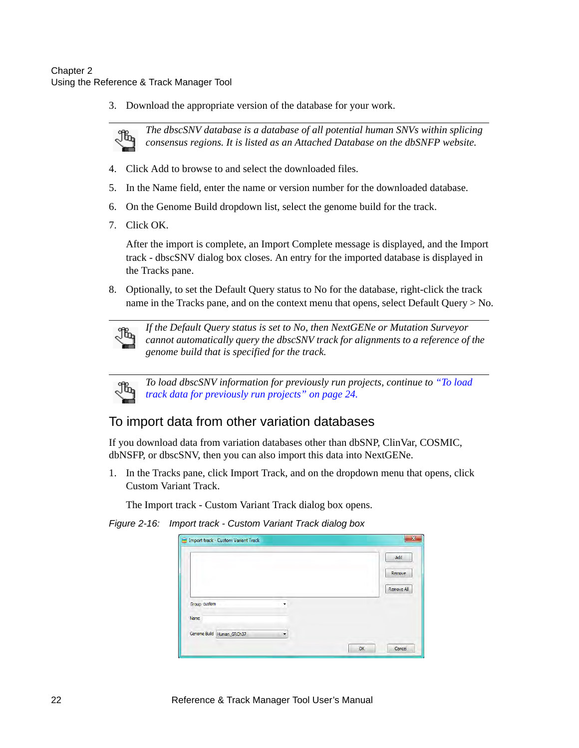3. Download the appropriate version of the database for your work.



*The dbscSNV database is a database of all potential human SNVs within splicing consensus regions. It is listed as an Attached Database on the dbSNFP website.*

- 4. Click Add to browse to and select the downloaded files.
- 5. In the Name field, enter the name or version number for the downloaded database.
- 6. On the Genome Build dropdown list, select the genome build for the track.
- 7. Click OK.

After the import is complete, an Import Complete message is displayed, and the Import track - dbscSNV dialog box closes. An entry for the imported database is displayed in the Tracks pane.

8. Optionally, to set the Default Query status to No for the database, right-click the track name in the Tracks pane, and on the context menu that opens, select Default Query > No.



*If the Default Query status is set to No, then NextGENe or Mutation Surveyor cannot automatically query the dbscSNV track for alignments to a reference of the genome build that is specified for the track.* 



*To load dbscSNV information for previously run projects, continue to ["To load](#page-27-0)  [track data for previously run projects" on page 24.](#page-27-0)*

### <span id="page-25-0"></span>To import data from other variation databases

If you download data from variation databases other than dbSNP, ClinVar, COSMIC, dbNSFP, or dbscSNV, then you can also import this data into NextGENe.

1. In the Tracks pane, click Import Track, and on the dropdown menu that opens, click Custom Variant Track.

The Import track - Custom Variant Track dialog box opens.

*Figure 2-16: Import track - Custom Variant Track dialog box*

|                           |   | Add        |
|---------------------------|---|------------|
|                           |   | Remove     |
|                           |   | Remove All |
| Group custom              |   |            |
| Name                      |   |            |
| Genome Build Human_GRCh37 | ▼ |            |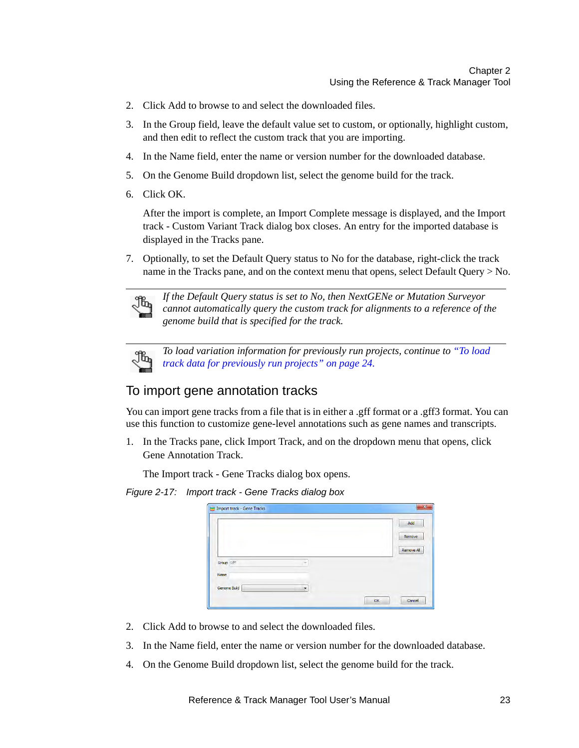- 2. Click Add to browse to and select the downloaded files.
- 3. In the Group field, leave the default value set to custom, or optionally, highlight custom, and then edit to reflect the custom track that you are importing.
- 4. In the Name field, enter the name or version number for the downloaded database.
- 5. On the Genome Build dropdown list, select the genome build for the track.
- 6. Click OK.

After the import is complete, an Import Complete message is displayed, and the Import track - Custom Variant Track dialog box closes. An entry for the imported database is displayed in the Tracks pane.

7. Optionally, to set the Default Query status to No for the database, right-click the track name in the Tracks pane, and on the context menu that opens, select Default Query > No.



*If the Default Query status is set to No, then NextGENe or Mutation Surveyor cannot automatically query the custom track for alignments to a reference of the genome build that is specified for the track.* 



*To load variation information for previously run projects, continue to ["To load](#page-27-0)  [track data for previously run projects" on page 24.](#page-27-0)*

### <span id="page-26-0"></span>To import gene annotation tracks

You can import gene tracks from a file that is in either a .gff format or a .gff3 format. You can use this function to customize gene-level annotations such as gene names and transcripts.

1. In the Tracks pane, click Import Track, and on the dropdown menu that opens, click Gene Annotation Track.

The Import track - Gene Tracks dialog box opens.

#### *Figure 2-17: Import track - Gene Tracks dialog box*

| <b>Import track - Gene Tracks</b> |   |    | Add        |
|-----------------------------------|---|----|------------|
|                                   |   |    | Remove     |
|                                   |   |    | Remove All |
| Group Gff                         | ٠ |    |            |
| Name                              |   |    |            |
| Genome Build                      | ۰ |    |            |
|                                   |   | OK | Cancel     |

- 2. Click Add to browse to and select the downloaded files.
- 3. In the Name field, enter the name or version number for the downloaded database.
- 4. On the Genome Build dropdown list, select the genome build for the track.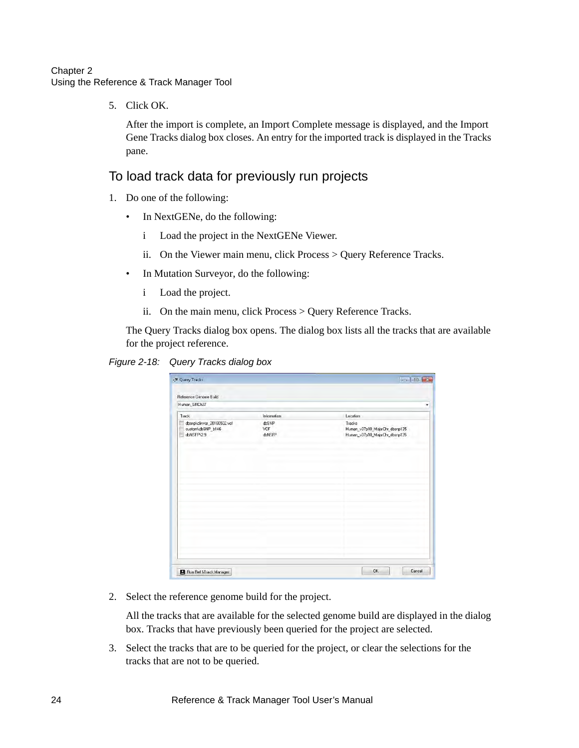5. Click OK.

After the import is complete, an Import Complete message is displayed, and the Import Gene Tracks dialog box closes. An entry for the imported track is displayed in the Tracks pane.

### <span id="page-27-0"></span>To load track data for previously run projects

- 1. Do one of the following:
	- In NextGENe, do the following:
		- i Load the project in the NextGENe Viewer.
		- ii. On the Viewer main menu, click Process > Query Reference Tracks.
	- In Mutation Surveyor, do the following:
		- i Load the project.
		- ii. On the main menu, click Process > Query Reference Tracks.

The Query Tracks dialog box opens. The dialog box lists all the tracks that are available for the project reference.



| Human_GRCh37                                                  |                             |                                                      |
|---------------------------------------------------------------|-----------------------------|------------------------------------------------------|
| Track<br>F<br>dbsnp\clinvar_20160502.vcf<br>custom\dbSNP_b146 | Information<br>dbSNP<br>VCF | Location<br>Tracks<br>Human_v37p10_MajorChr_dbsnp135 |
| ш<br>dbNSFP\2.9                                               | dbNSFP                      | Human_v37p10_MajorChr_dbsnp135                       |
|                                                               |                             |                                                      |
|                                                               |                             |                                                      |
|                                                               |                             |                                                      |
|                                                               |                             |                                                      |
|                                                               |                             |                                                      |

2. Select the reference genome build for the project.

All the tracks that are available for the selected genome build are displayed in the dialog box. Tracks that have previously been queried for the project are selected.

3. Select the tracks that are to be queried for the project, or clear the selections for the tracks that are not to be queried.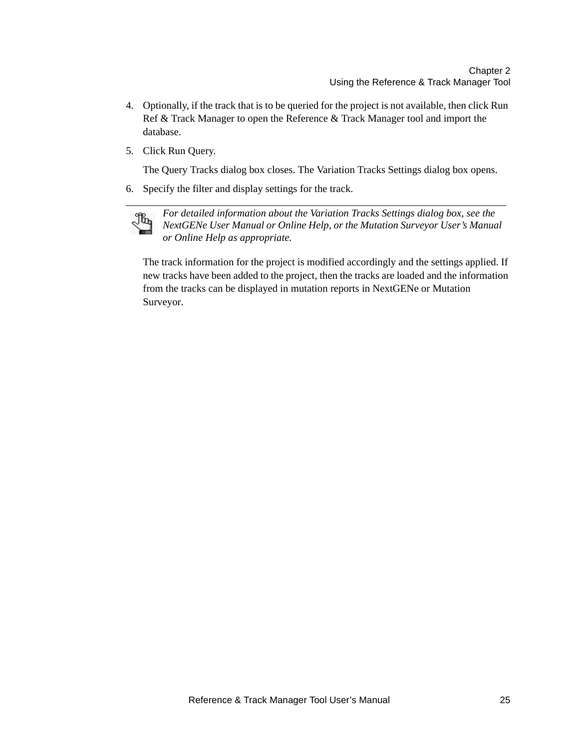- 4. Optionally, if the track that is to be queried for the project is not available, then click Run Ref & Track Manager to open the Reference & Track Manager tool and import the database.
- 5. Click Run Query.

The Query Tracks dialog box closes. The Variation Tracks Settings dialog box opens.

6. Specify the filter and display settings for the track.



*For detailed information about the Variation Tracks Settings dialog box, see the NextGENe User Manual or Online Help, or the Mutation Surveyor User's Manual or Online Help as appropriate.*

The track information for the project is modified accordingly and the settings applied. If new tracks have been added to the project, then the tracks are loaded and the information from the tracks can be displayed in mutation reports in NextGENe or Mutation Surveyor.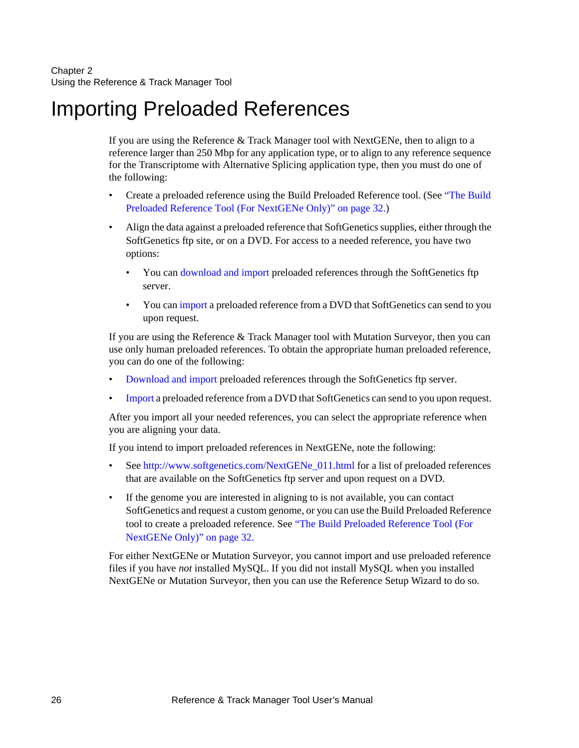# <span id="page-29-0"></span>Importing Preloaded References

If you are using the Reference & Track Manager tool with NextGENe, then to align to a reference larger than 250 Mbp for any application type, or to align to any reference sequence for the Transcriptome with Alternative Splicing application type, then you must do one of the following:

- Create a preloaded reference using the Build Preloaded Reference tool. (See ["The Build](#page-35-0)  [Preloaded Reference Tool \(For NextGENe Only\)" on page 32.](#page-35-0))
- Align the data against a preloaded reference that SoftGenetics supplies, either through the SoftGenetics ftp site, or on a DVD. For access to a needed reference, you have two options:
	- You can [download and import p](#page-30-0)reloaded references through the SoftGenetics ftp server.
	- You can [import](#page-30-0) a preloaded reference from a DVD that SoftGenetics can send to you upon request.

If you are using the Reference & Track Manager tool with Mutation Surveyor, then you can use only human preloaded references. To obtain the appropriate human preloaded reference, you can do one of the following:

- [Download and import](#page-30-0) preloaded references through the SoftGenetics ftp server.
- [Import](#page-30-0) a preloaded reference from a DVD that SoftGenetics can send to you upon request.

After you import all your needed references, you can select the appropriate reference when you are aligning your data.

If you intend to import preloaded references in NextGENe, note the following:

- See [http://www.softgenetics.com/NextGENe\\_011.html](http://www.softgenetics.com/NextGENe_011.html) for a list of preloaded references that are available on the SoftGenetics ftp server and upon request on a DVD.
- If the genome you are interested in aligning to is not available, you can contact SoftGenetics and request a custom genome, or you can use the Build Preloaded Reference tool to create a preloaded reference. See ["The Build Preloaded Reference Tool \(For](#page-35-0)  [NextGENe Only\)" on page 32.](#page-35-0)

For either NextGENe or Mutation Surveyor, you cannot import and use preloaded reference files if you have *not* installed MySQL. If you did not install MySQL when you installed NextGENe or Mutation Surveyor, then you can use the Reference Setup Wizard to do so.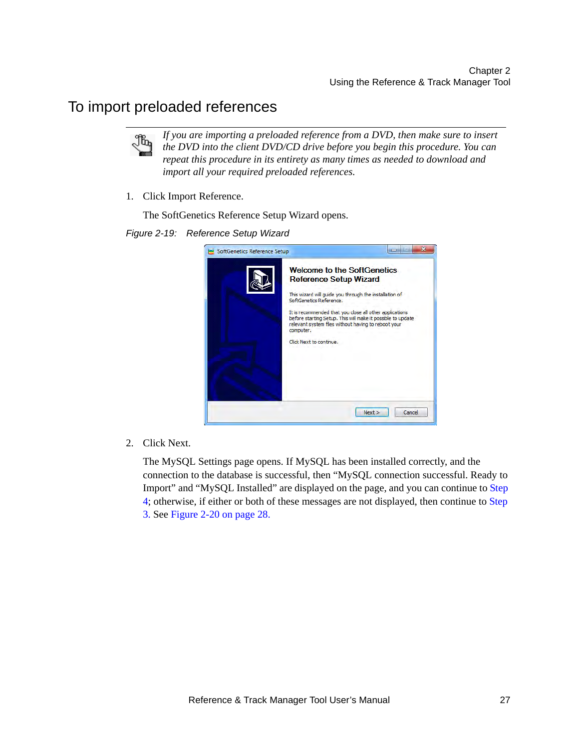### <span id="page-30-0"></span>To import preloaded references



*If you are importing a preloaded reference from a DVD, then make sure to insert the DVD into the client DVD/CD drive before you begin this procedure. You can repeat this procedure in its entirety as many times as needed to download and import all your required preloaded references.*

1. Click Import Reference.

The SoftGenetics Reference Setup Wizard opens.

*Figure 2-19: Reference Setup Wizard*



2. Click Next.

The MySQL Settings page opens. If MySQL has been installed correctly, and the connection to the database is successful, then "MySQL connection successful. Ready to Import" and "MySQL Installed" are displayed on the page, and you can continue to [Step](#page-31-0)  [4;](#page-31-0) otherwise, if either or both of these messages are not displayed, then continue to [Step](#page-31-1)  [3.](#page-31-1) See [Figure 2-20 on page 28.](#page-31-2)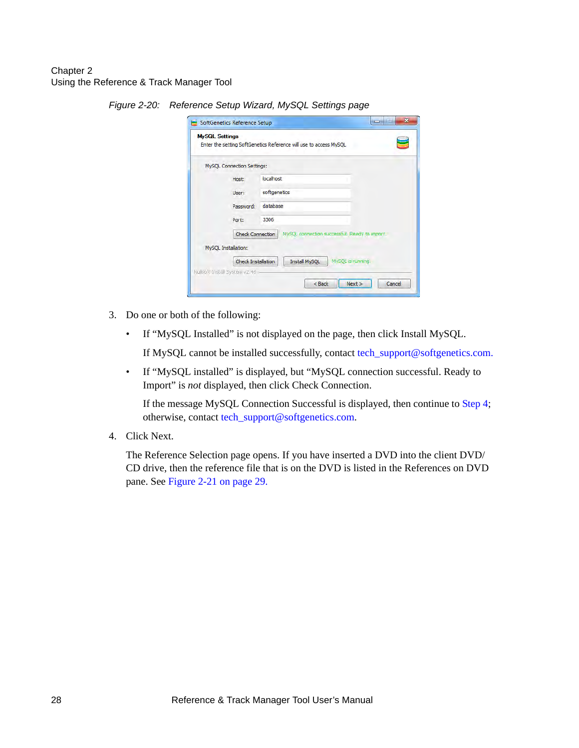| MySQL Connection Settings:<br>localhost                                  |
|--------------------------------------------------------------------------|
|                                                                          |
|                                                                          |
| softgenetics                                                             |
| database                                                                 |
| 3306                                                                     |
| <b>Check Connection</b><br>MySQL connection successful. Ready to import. |
|                                                                          |
| <b>Check Installation</b><br>MySQL is running.<br><b>Install MySQL</b>   |
| Mullspft Install System v2 46                                            |

<span id="page-31-2"></span>*Figure 2-20: Reference Setup Wizard, MySQL Settings page*

- <span id="page-31-1"></span>3. Do one or both of the following:
	- If "MySQL Installed" is not displayed on the page, then click Install MySQL.

If MySQL cannot be installed successfully, contact [tech\\_support@softgenetics.com.](mailto:tech_support@softgenetics.com?subject=Customer Support Inquiry)

 $<$  Back

 $Next >$ 

Cancel

• If "MySQL installed" is displayed, but "MySQL connection successful. Ready to Import" is *not* displayed, then click Check Connection.

If the message MySQL Connection Successful is displayed, then continue to [Step 4](#page-31-0); otherwise, contact [tech\\_support@softgenetics.com.](mailto:tech_support@softgenetics.com?subject=Customer Support Inquiry)

<span id="page-31-0"></span>4. Click Next.

The Reference Selection page opens. If you have inserted a DVD into the client DVD/ CD drive, then the reference file that is on the DVD is listed in the References on DVD pane. See [Figure 2-21 on page 29.](#page-32-0)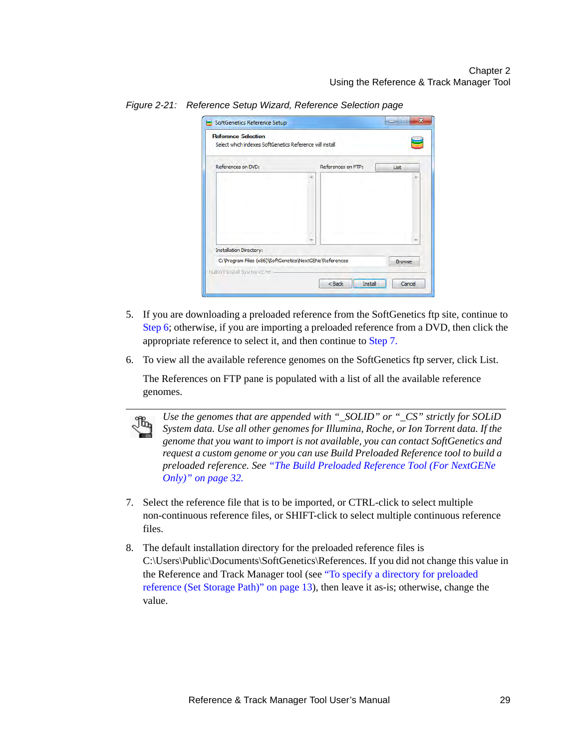| References on DVD:             | References on FTP: | List |
|--------------------------------|--------------------|------|
|                                |                    |      |
|                                |                    |      |
|                                |                    |      |
|                                |                    |      |
|                                |                    |      |
| <b>Installation Directory:</b> |                    |      |

<span id="page-32-0"></span>*Figure 2-21: Reference Setup Wizard, Reference Selection page*

- 5. If you are downloading a preloaded reference from the SoftGenetics ftp site, continue to [Step 6](#page-32-1); otherwise, if you are importing a preloaded reference from a DVD, then click the appropriate reference to select it, and then continue to [Step 7.](#page-32-2)
- <span id="page-32-1"></span>6. To view all the available reference genomes on the SoftGenetics ftp server, click List.

The References on FTP pane is populated with a list of all the available reference genomes.



*Use the genomes that are appended with "\_SOLID" or "\_CS" strictly for SOLiD System data. Use all other genomes for Illumina, Roche, or Ion Torrent data. If the genome that you want to import is not available, you can contact SoftGenetics and request a custom genome or you can use Build Preloaded Reference tool to build a preloaded reference. See ["The Build Preloaded Reference Tool \(For NextGENe](#page-35-0)  [Only\)" on page 32.](#page-35-0)*

- <span id="page-32-2"></span>7. Select the reference file that is to be imported, or CTRL-click to select multiple non-continuous reference files, or SHIFT-click to select multiple continuous reference files.
- 8. The default installation directory for the preloaded reference files is C:\Users\Public\Documents\SoftGenetics\References. If you did not change this value in the Reference and Track Manager tool (see ["To specify a directory for preloaded](#page-16-0)  [reference \(Set Storage Path\)" on page 13](#page-16-0)), then leave it as-is; otherwise, change the value.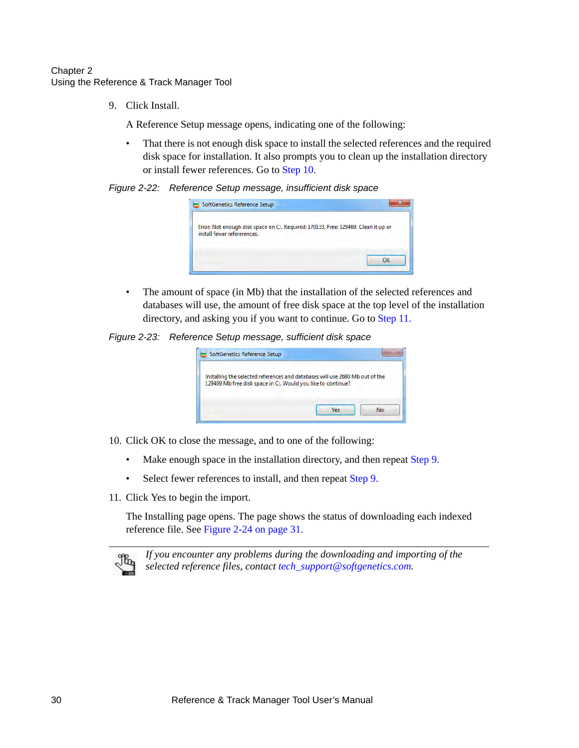<span id="page-33-2"></span>9. Click Install.

A Reference Setup message opens, indicating one of the following:

• That there is not enough disk space to install the selected references and the required disk space for installation. It also prompts you to clean up the installation directory or install fewer references. Go to [Step 10.](#page-33-0)

*Figure 2-22: Reference Setup message, insufficient disk space*

| SoftGenetics Reference Setup                                                                                      |  |
|-------------------------------------------------------------------------------------------------------------------|--|
| Error: Not enough disk space on C:. Required: 170133, Free: 129469. Clean it up or<br>install fewer refererences. |  |
|                                                                                                                   |  |

• The amount of space (in Mb) that the installation of the selected references and databases will use, the amount of free disk space at the top level of the installation directory, and asking you if you want to continue. Go to [Step 11.](#page-33-1)

*Figure 2-23: Reference Setup message, sufficient disk space*

| SoftGenetics Reference Setup                                                                                                                 |  |
|----------------------------------------------------------------------------------------------------------------------------------------------|--|
| Installing the selected references and databases will use 2680 Mb out of the<br>129469 Mb free disk space in C:. Would you like to continue? |  |
|                                                                                                                                              |  |

- <span id="page-33-0"></span>10. Click OK to close the message, and to one of the following:
	- Make enough space in the installation directory, and then repeat [Step 9.](#page-33-2)
	- Select fewer references to install, and then repeat [Step 9.](#page-33-2)
- <span id="page-33-1"></span>11. Click Yes to begin the import.

The Installing page opens. The page shows the status of downloading each indexed reference file. See [Figure 2-24 on page 31.](#page-34-0)



*If you encounter any problems during the downloading and importing of the selected reference files, contact [tech\\_support@softgenetics.com.](mailto:tech_support@softgenetics.com?subject=Customer Support Inquiry)*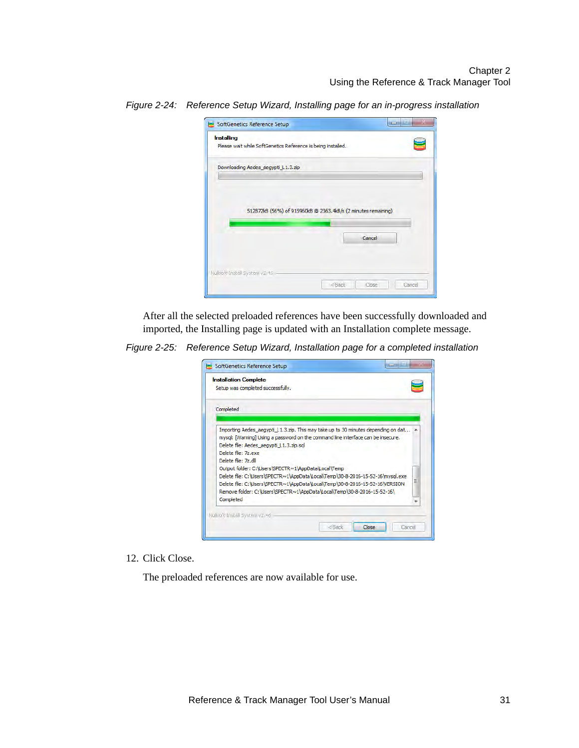| <b>Installing</b>                                            |                                                               |
|--------------------------------------------------------------|---------------------------------------------------------------|
| Please wait while SoftGenetics Reference is being installed. |                                                               |
| Downloading Aedes_aegypti_L1.3.zip                           |                                                               |
|                                                              |                                                               |
|                                                              |                                                               |
|                                                              |                                                               |
|                                                              |                                                               |
|                                                              | 512872kB (56%) of 915960kB @ 2363.4kB/s (2 minutes remaining) |
|                                                              |                                                               |
|                                                              | Cancel                                                        |
|                                                              |                                                               |
|                                                              |                                                               |

<span id="page-34-0"></span>*Figure 2-24: Reference Setup Wizard, Installing page for an in-progress installation*

After all the selected preloaded references have been successfully downloaded and imported, the Installing page is updated with an Installation complete message.

*Figure 2-25: Reference Setup Wizard, Installation page for a completed installation*

| <b>Installation Complete</b>                                                                                                                              |                                                                                                                                                                                                                                                                                                                                                                                                                      |   |
|-----------------------------------------------------------------------------------------------------------------------------------------------------------|----------------------------------------------------------------------------------------------------------------------------------------------------------------------------------------------------------------------------------------------------------------------------------------------------------------------------------------------------------------------------------------------------------------------|---|
| Setup was completed successfully.                                                                                                                         |                                                                                                                                                                                                                                                                                                                                                                                                                      |   |
| Completed                                                                                                                                                 |                                                                                                                                                                                                                                                                                                                                                                                                                      |   |
| Delete file: Aedes aegypti L1.3.zip.sql<br>Delete file: 7z.exe<br>Delete file: 7z.dll<br>Output folder: C:\Users\SPECTR~1\AppData\Local\Temp<br>Completed | Importing Aedes aegypti L1.3.zip. This may take up to 30 minutes depending on dat ^<br>mysql: [Warning] Using a password on the command line interface can be insecure.<br>Delete file: C:\Users\SPECTR~1\AppData\Local\Temp\30-8-2016-15-52-16\mysql.exe<br>Delete file: C:\Users\SPECTR~1\AppData\Local\Temp\30-8-2016-15-52-16\VERSION<br>Remove folder: C:\Users\SPECTR~1\AppData\Local\Temp\30-8-2016-15-52-16\ | Ξ |
| Nullsoft Install System y2.46                                                                                                                             |                                                                                                                                                                                                                                                                                                                                                                                                                      |   |

#### 12. Click Close.

The preloaded references are now available for use.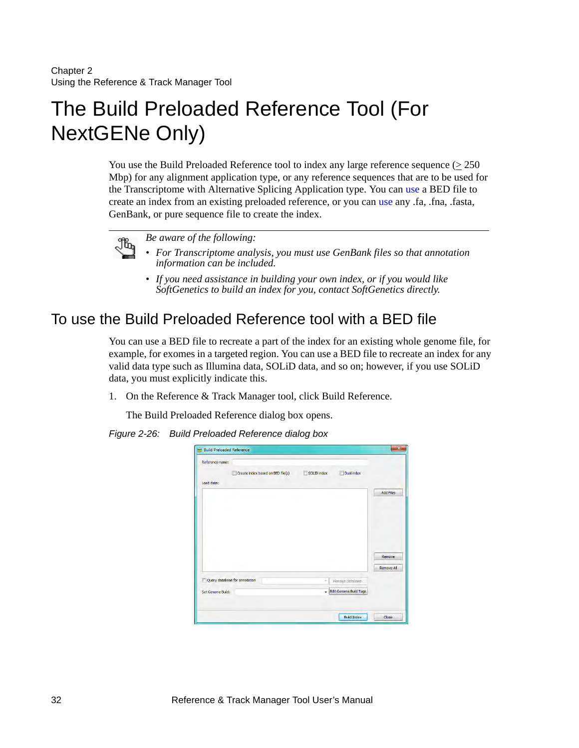# <span id="page-35-0"></span>The Build Preloaded Reference Tool (For NextGENe Only)

You use the Build Preloaded Reference tool to index any large reference sequence ( $\geq 250$ ) Mbp) for any alignment application type, or any reference sequences that are to be used for the Transcriptome with Alternative Splicing Application type. You can [use](#page-35-1) a BED file to create an index from an existing preloaded reference, or you can [use](#page-37-0) any .fa, .fna, .fasta, GenBank, or pure sequence file to create the index.



*Be aware of the following:*

- *For Transcriptome analysis, you must use GenBank files so that annotation information can be included.*
- *If you need assistance in building your own index, or if you would like SoftGenetics to build an index for you, contact SoftGenetics directly.*

### <span id="page-35-1"></span>To use the Build Preloaded Reference tool with a BED file

You can use a BED file to recreate a part of the index for an existing whole genome file, for example, for exomes in a targeted region. You can use a BED file to recreate an index for any valid data type such as Illumina data, SOLiD data, and so on; however, if you use SOLiD data, you must explicitly indicate this.

1. On the Reference & Track Manager tool, click Build Reference.

The Build Preloaded Reference dialog box opens.

*Figure 2-26: Build Preloaded Reference dialog box*

| Reference name:   |                               |                                   |             |                        |                   |
|-------------------|-------------------------------|-----------------------------------|-------------|------------------------|-------------------|
|                   |                               | Create index based on BED file(s) | SOLID index | <b>Dual index</b><br>г |                   |
| Load data:        |                               |                                   |             |                        |                   |
|                   |                               |                                   |             |                        | <b>Add Files</b>  |
|                   |                               |                                   |             |                        |                   |
|                   |                               |                                   |             |                        | Remove            |
|                   |                               |                                   |             |                        |                   |
|                   | Query database for annotation |                                   | ÷           | Manage Database        | <b>Remove All</b> |
| Set Genome Build: |                               |                                   | ٠           | Edit Genome Build Tags |                   |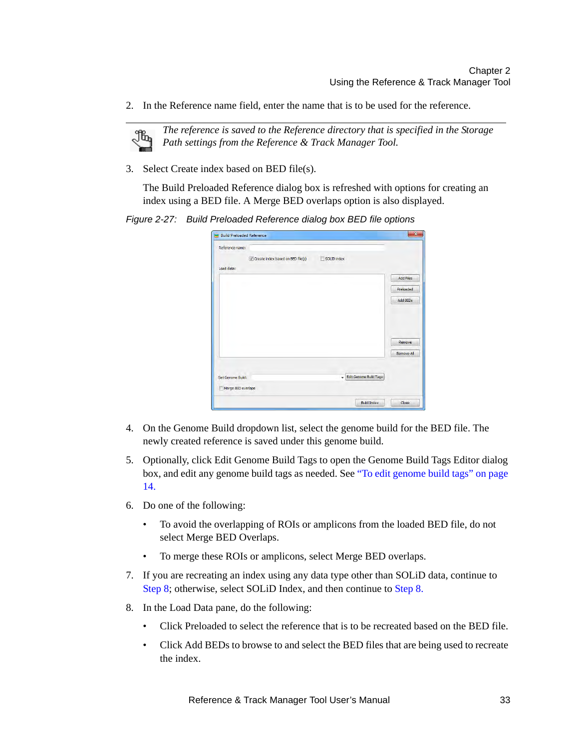2. In the Reference name field, enter the name that is to be used for the reference.



*The reference is saved to the Reference directory that is specified in the Storage Path settings from the Reference & Track Manager Tool.* 

3. Select Create index based on BED file(s).

The Build Preloaded Reference dialog box is refreshed with options for creating an index using a BED file. A Merge BED overlaps option is also displayed.

*Figure 2-27: Build Preloaded Reference dialog box BED file options*

| <b>Build Preloaded Reference</b> |                                     |             |                               |                   |
|----------------------------------|-------------------------------------|-------------|-------------------------------|-------------------|
| Reference name:                  |                                     |             |                               |                   |
|                                  | V Create index based on BED file(s) | SOLID index |                               |                   |
| Load data:                       |                                     |             |                               |                   |
|                                  |                                     |             |                               | <b>Add Files</b>  |
|                                  |                                     |             |                               | Preloaded         |
|                                  |                                     |             |                               | Add BEDs          |
|                                  |                                     |             |                               |                   |
|                                  |                                     |             |                               |                   |
|                                  |                                     |             |                               |                   |
|                                  |                                     |             |                               |                   |
|                                  |                                     |             |                               | Remove            |
|                                  |                                     |             |                               | <b>Remove All</b> |
|                                  |                                     |             |                               |                   |
|                                  |                                     | ٠           | <b>Edit Genome Build Tags</b> |                   |
| Set Genome Build:                |                                     |             |                               |                   |
| Merge BED overlaps               |                                     |             |                               |                   |
|                                  |                                     |             | <b>Build Index</b>            | Close             |

- 4. On the Genome Build dropdown list, select the genome build for the BED file. The newly created reference is saved under this genome build.
- 5. Optionally, click Edit Genome Build Tags to open the Genome Build Tags Editor dialog box, and edit any genome build tags as needed. See ["To edit genome build tags" on page](#page-17-0)  [14.](#page-17-0)
- 6. Do one of the following:
	- To avoid the overlapping of ROIs or amplicons from the loaded BED file, do not select Merge BED Overlaps.
	- To merge these ROIs or amplicons, select Merge BED overlaps.
- 7. If you are recreating an index using any data type other than SOLiD data, continue to [Step 8;](#page-36-0) otherwise, select SOLiD Index, and then continue to [Step 8.](#page-36-0)
- <span id="page-36-0"></span>8. In the Load Data pane, do the following:
	- Click Preloaded to select the reference that is to be recreated based on the BED file.
	- Click Add BEDs to browse to and select the BED files that are being used to recreate the index.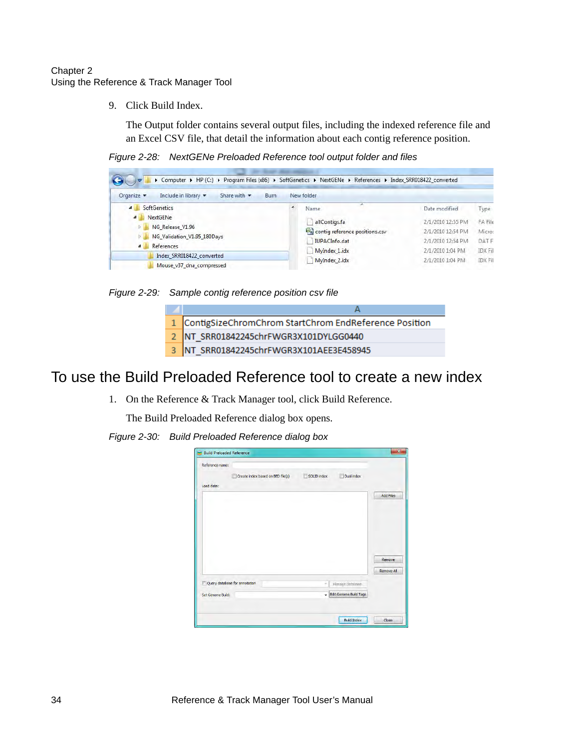9. Click Build Index.

The Output folder contains several output files, including the indexed reference file and an Excel CSV file, that detail the information about each contig reference position.

*Figure 2-28: NextGENe Preloaded Reference tool output folder and files*

| Organize -<br>Include in library -<br>Share with $\star$<br>Burn                                                                  |  | New folder                     |                   |                |
|-----------------------------------------------------------------------------------------------------------------------------------|--|--------------------------------|-------------------|----------------|
| <b>SoftGenetics</b><br>a.                                                                                                         |  | Name                           | Date modified     | Type           |
| NextGENe<br>$\overline{a}$<br>NG Release V1.96<br>$\triangleright$<br>NG_Validation_V1.95_180Days<br>References<br>$\overline{a}$ |  | allContigs.fa                  | 2/1/2010 12:55 PM | FA File        |
|                                                                                                                                   |  | contig reference positions.csv | 2/1/2010 12:54 PM | Micros         |
|                                                                                                                                   |  | IUPACInfo.dat                  | 2/1/2010 12:54 PM | <b>DATE</b>    |
|                                                                                                                                   |  | MyIndex 1.idx                  | 2/1/2010 1:04 PM  | <b>IDX Fil</b> |
| Index SRR018422 converted<br>Mouse_v37_dna_compressed                                                                             |  | MyIndex 2.idx                  | 2/1/2010 1:04 PM  | <b>IDX Fil</b> |

*Figure 2-29: Sample contig reference position csv file*

| 1 ContigSizeChromChrom StartChrom EndReference Position |
|---------------------------------------------------------|
| 2 NT_SRR01842245chrFWGR3X101DYLGG0440                   |
| 3 NT_SRR01842245chrFWGR3X101AEE3E458945                 |

### <span id="page-37-0"></span>To use the Build Preloaded Reference tool to create a new index

1. On the Reference & Track Manager tool, click Build Reference.

The Build Preloaded Reference dialog box opens.

*Figure 2-30: Build Preloaded Reference dialog box*

| Reference name:   |                               |                                   |             |                               |                   |
|-------------------|-------------------------------|-----------------------------------|-------------|-------------------------------|-------------------|
| Load data:        |                               | Create index based on BED file(s) | SOLID index | Dual index<br>íF              |                   |
|                   |                               |                                   |             |                               | <b>Add Files</b>  |
|                   |                               |                                   |             |                               |                   |
|                   |                               |                                   |             |                               | Remove            |
|                   |                               |                                   |             |                               | <b>Remove All</b> |
|                   | Query database for annotation |                                   | ÷.          | Manage Database               |                   |
| Set Genome Build: |                               |                                   | ٠           | <b>Edit Genome Build Tags</b> |                   |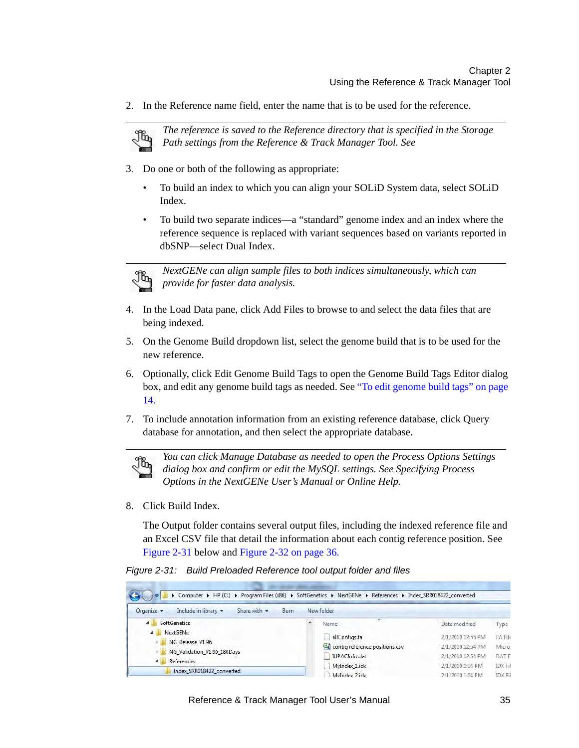2. In the Reference name field, enter the name that is to be used for the reference.



*The reference is saved to the Reference directory that is specified in the Storage Path settings from the Reference & Track Manager Tool. See* 

- 3. Do one or both of the following as appropriate:
	- To build an index to which you can align your SOLiD System data, select SOLiD Index.
	- To build two separate indices—a "standard" genome index and an index where the reference sequence is replaced with variant sequences based on variants reported in dbSNP—select Dual Index.



*NextGENe can align sample files to both indices simultaneously, which can provide for faster data analysis.*

- 4. In the Load Data pane, click Add Files to browse to and select the data files that are being indexed.
- 5. On the Genome Build dropdown list, select the genome build that is to be used for the new reference.
- 6. Optionally, click Edit Genome Build Tags to open the Genome Build Tags Editor dialog box, and edit any genome build tags as needed. See ["To edit genome build tags" on page](#page-17-0)  [14.](#page-17-0)
- 7. To include annotation information from an existing reference database, click Query database for annotation, and then select the appropriate database.



*You can click Manage Database as needed to open the Process Options Settings dialog box and confirm or edit the MySQL settings. See Specifying Process Options in the NextGENe User's Manual or Online Help.*

8. Click Build Index.

The Output folder contains several output files, including the indexed reference file and an Excel CSV file that detail the information about each contig reference position. See [Figure 2-31 below](#page-38-0) and [Figure 2-32 on page 36.](#page-39-0)

<span id="page-38-0"></span>*Figure 2-31: Build Preloaded Reference tool output folder and files*

| > Computer > HP (C:) > Program Files (x86) > SoftGenetics > NextGENe > References > Index SRR018422_converted |                                                   |                                 |               |                                |                   |                   |                  |               |
|---------------------------------------------------------------------------------------------------------------|---------------------------------------------------|---------------------------------|---------------|--------------------------------|-------------------|-------------------|------------------|---------------|
| Organize $\blacktriangledown$                                                                                 | Include in library v                              | Share with $\blacktriangledown$ | <b>Burn</b>   |                                | New folder        |                   |                  |               |
| $\overline{a}$                                                                                                | <b>SoftGenetics</b><br>NextGENe<br>$\blacksquare$ |                                 |               | Name                           |                   | Date modified     | Type             |               |
|                                                                                                               |                                                   |                                 |               | allContigs.fa                  |                   | 2/1/2010 12:55 PM | FA File          |               |
| NG Release V1.96<br>NG Validation V1.95 180Days<br>D.                                                         |                                                   |                                 |               | contig reference positions.csv | 2/1/2010 12:54 PM | Micros            |                  |               |
|                                                                                                               |                                                   |                                 | IUPACInfo.dat |                                | 2/1/2010 12:54 PM | <b>DATF</b>       |                  |               |
|                                                                                                               | References<br>$\overline{a}$                      |                                 |               | MyIndex 1.idx                  |                   | 2/1/2010 1:04 PM  | <b>IDX Fil</b>   |               |
|                                                                                                               | Index SRR018422 converted                         |                                 |               |                                | MyIndex 2.idx     |                   | 2/1/2010 1:04 PM | <b>IDXFil</b> |